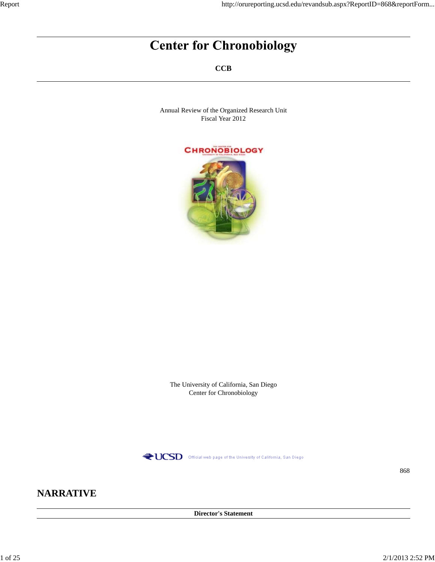# **Center for Chronobiology**

**CCB**

Annual Review of the Organized Research Unit Fiscal Year 2012



The University of California, San Diego Center for Chronobiology



868

## **NARRATIVE**

**Director's Statement**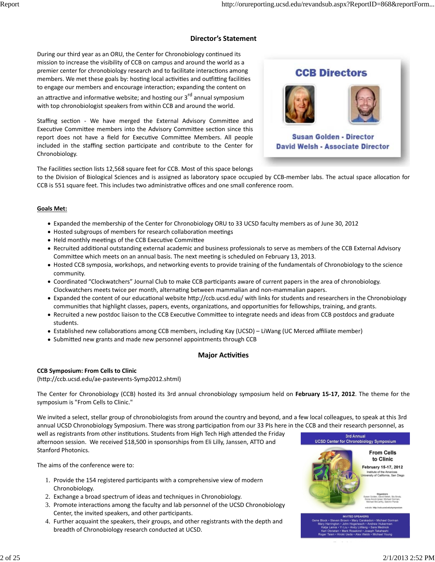### **Director's Statement**

During our third year as an ORU, the Center for Chronobiology continued its mission to increase the visibility of CCB on campus and around the world as a premier center for chronobiology research and to facilitate interactions among members. We met these goals by: hosting local activities and outfitting facilities to engage our members and encourage interaction; expanding the content on an attractive and informative website; and hosting our 3<sup>rd</sup> annual symposium with top chronobiologist speakers from within CCB and around the world.

Staffing section - We have merged the External Advisory Committee and Executive Committee members into the Advisory Committee section since this report does not have a field for Executive Committee Members. All people included in the staffing section participate and contribute to the Center for Chronobiology.



The Facilities section lists 12,568 square feet for CCB. Most of this space belongs

to the Division of Biological Sciences and is assigned as laboratory space occupied by CCB-member labs. The actual space allocation for CCB is 551 square feet. This includes two administrative offices and one small conference room.

#### **Goals Met:**

- Expanded the membership of the Center for Chronobiology ORU to 33 UCSD faculty members as of June 30, 2012
- Hosted subgroups of members for research collaboration meetings
- Held monthly meetings of the CCB Executive Committee
- Recruited additional outstanding external academic and business professionals to serve as members of the CCB External Advisory Committee which meets on an annual basis. The next meeting is scheduled on February 13, 2013.
- Hosted CCB symposia, workshops, and networking events to provide training of the fundamentals of Chronobiology to the science community.
- Coordinated "Clockwatchers" Journal Club to make CCB participants aware of current papers in the area of chronobiology. Clockwatchers meets twice per month, alternating between mammalian and non-mammalian papers.
- Expanded the content of our educational website http://ccb.ucsd.edu/ with links for students and researchers in the Chronobiology communities that highlight classes, papers, events, organizations, and opportunities for fellowships, training, and grants.
- Recruited a new postdoc liaison to the CCB Executive Committee to integrate needs and ideas from CCB postdocs and graduate students.
- Established new collaborations among CCB members, including Kay (UCSD) LiWang (UC Merced affiliate member)
- Submitted new grants and made new personnel appointments through CCB

#### **Major AcƟviƟes**

#### **CCB Symposium: From Cells to Clinic**

(hƩp://ccb.ucsd.edu/ae‐pastevents‐Symp2012.shtml)

The Center for Chronobiology (CCB) hosted its 3rd annual chronobiology symposium held on **February 15‐17, 2012**. The theme for the symposium is "From Cells to Clinic."

We invited a select, stellar group of chronobiologists from around the country and beyond, and a few local colleagues, to speak at this 3rd annual UCSD Chronobiology Symposium. There was strong participation from our 33 PIs here in the CCB and their research personnel, as

well as registrants from other institutions. Students from High Tech High attended the Friday afternoon session. We received \$18,500 in sponsorships from Eli Lilly, Janssen, ATTO and Stanford Photonics.

The aims of the conference were to:

- 1. Provide the 154 registered participants with a comprehensive view of modern Chronobiology.
- 2. Exchange a broad spectrum of ideas and techniques in Chronobiology.
- 3. Promote interactions among the faculty and lab personnel of the UCSD Chronobiology Center, the invited speakers, and other participants.
- 4. Further acquaint the speakers, their groups, and other registrants with the depth and breadth of Chronobiology research conducted at UCSD.

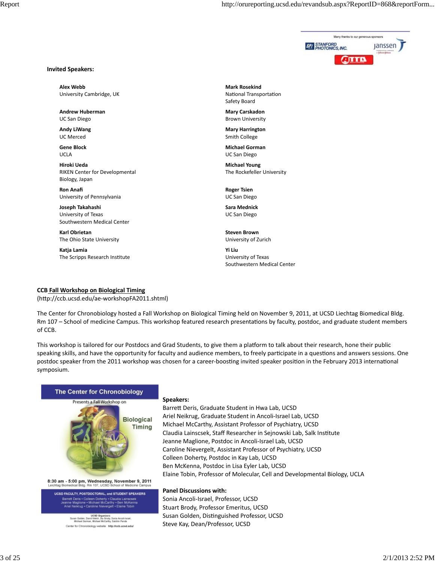

#### **Invited Speakers:**

**Alex Webb** University Cambridge, UK

**Andrew Huberman** UC San Diego

**Andy LiWang** UC Merced

**Gene Block** UCLA

**Hiroki Ueda** RIKEN Center for Developmental Biology, Japan

**Ron Anafi** University of Pennsylvania

**Joseph Takahashi** University of Texas Southwestern Medical Center

**Karl Obrietan** The Ohio State University

**Katja Lamia** The Scripps Research Institute **Mark Rosekind** National Transportation Safety Board

**Mary Carskadon** Brown University

**Mary Harrington** Smith College

**Michael Gorman** UC San Diego

**Michael Young** The Rockefeller University

**Roger Tsien** UC San Diego

**Sara Mednick** UC San Diego

**Steven Brown** University of Zurich

**Yi Liu** University of Texas Southwestern Medical Center

#### **CCB Fall Workshop on Biological Timing**

(hƩp://ccb.ucsd.edu/ae‐workshopFA2011.shtml)

The Center for Chronobiology hosted a Fall Workshop on Biological Timing held on November 9, 2011, at UCSD Liechtag Biomedical Bldg. Rm 107 – School of medicine Campus. This workshop featured research presentations by faculty, postdoc, and graduate student members of CCB.

This workshop is tailored for our Postdocs and Grad Students, to give them a platform to talk about their research, hone their public speaking skills, and have the opportunity for faculty and audience members, to freely participate in a questions and answers sessions. One postdoc speaker from the 2011 workshop was chosen for a career-boosting invited speaker position in the February 2013 international symposium.



8:30 am - 5:00 pm, Wednesday, November 9, 2011<br>Leichtag Biomedical Bldg. Rm 107, UCSD School of Medicine Campus

UCSD FACULTY, POSTDOCTORAL, and STUDENT SPEAKERS Barrett Deris • Colleen Doherty • Claudia Lainscse<br>Jeanne Maglione • Michael McCarthy • Ben McKen<br>- Ariel Neikrug • Caroline Nievergelt • Elaine Tobir

> UCSD Organizers<br>Susan Golden, David Welsh, Stu Brody, Sonia Ancoli-Israel<br>Michael Gorman, Michael McCarthy, Satchin Panda Center for Chronobiology website: http://ocb.ucsd.edu

#### **Speakers:**

BarreƩ Deris, Graduate Student in Hwa Lab, UCSD Ariel Neikrug, Graduate Student in Ancoli‐Israel Lab, UCSD Michael McCarthy, Assistant Professor of Psychiatry, UCSD Claudia Lainscsek, Staff Researcher in Sejnowski Lab, Salk Institute Jeanne Maglione, Postdoc in Ancoli‐Israel Lab, UCSD Caroline Nievergelt, Assistant Professor of Psychiatry, UCSD Colleen Doherty, Postdoc in Kay Lab, UCSD Ben McKenna, Postdoc in Lisa Eyler Lab, UCSD Elaine Tobin, Professor of Molecular, Cell and Developmental Biology, UCLA

#### **Panel Discussions with:**

Sonia Ancoli‐Israel, Professor, UCSD Stuart Brody, Professor Emeritus, UCSD Susan Golden, Distinguished Professor, UCSD Steve Kay, Dean/Professor, UCSD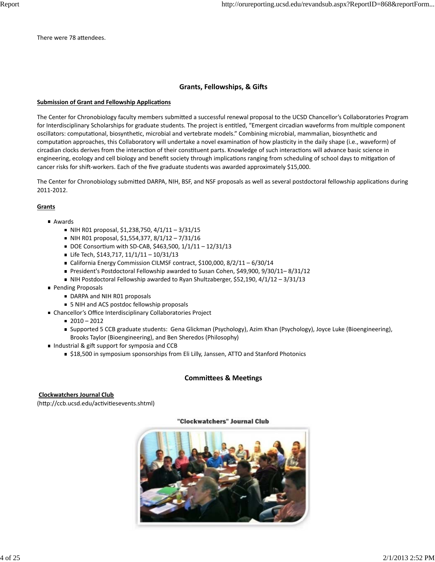There were 78 attendees.

#### $G$  **Grants, Fellowships, & Gifts**

#### **Submission of Grant and Fellowship Applications**

The Center for Chronobiology faculty members submitted a successful renewal proposal to the UCSD Chancellor's Collaboratories Program for Interdisciplinary Scholarships for graduate students. The project is entitled, "Emergent circadian waveforms from multiple component oscillators: computational, biosynthetic, microbial and vertebrate models." Combining microbial, mammalian, biosynthetic and computation approaches, this Collaboratory will undertake a novel examination of how plasticity in the daily shape (i.e., waveform) of circadian clocks derives from the interaction of their constituent parts. Knowledge of such interactions will advance basic science in engineering, ecology and cell biology and benefit society through implications ranging from scheduling of school days to mitigation of cancer risks for shift-workers. Each of the five graduate students was awarded approximately \$15,000.

The Center for Chronobiology submitted DARPA, NIH, BSF, and NSF proposals as well as several postdoctoral fellowship applications during 2011‐2012.

#### **Grants**

- Awards
	- $\blacksquare$  NIH R01 proposal, \$1,238,750, 4/1/11 3/31/15
	- $\blacksquare$  NIH R01 proposal, \$1,554,377, 8/1/12 7/31/16
	- DOE Consortium with SD-CAB, \$463,500, 1/1/11 12/31/13
	- Life Tech, \$143,717, 11/1/11 10/31/13
	- California Energy Commission CILMSF contract, \$100,000, 8/2/11 6/30/14
	- President's Postdoctoral Fellowship awarded to Susan Cohen, \$49,900, 9/30/11-8/31/12
	- NIH Postdoctoral Fellowship awarded to Ryan Shultzaberger, \$52,190,  $4/1/12 3/31/13$
- Pending Proposals
	- DARPA and NIH R01 proposals
	- 5 NIH and ACS postdoc fellowship proposals
- Chancellor's Office Interdisciplinary Collaboratories Project
	- $2010 2012$
	- Supported 5 CCB graduate students: Gena Glickman (Psychology), Azim Khan (Psychology), Joyce Luke (Bioengineering), Brooks Taylor (Bioengineering), and Ben Sheredos (Philosophy)
- Industrial & gift support for symposia and CCB
	- \$18,500 in symposium sponsorships from Eli Lilly, Janssen, ATTO and Stanford Photonics

#### **CommiƩees & MeeƟngs**

#### **Clockwatchers Journal Club**

(http://ccb.ucsd.edu/activitiesevents.shtml)

#### "Clockwatchers" Journal Club

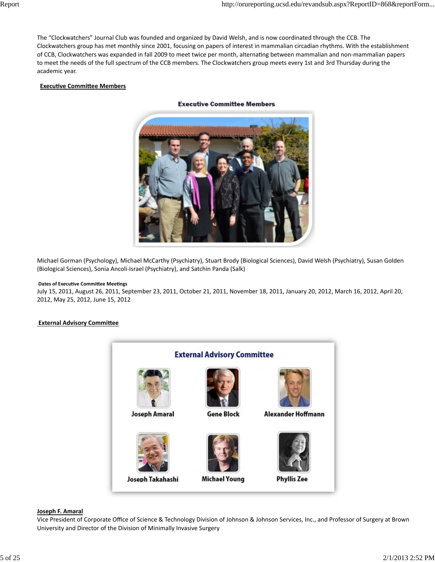The "Clockwatchers" Journal Club was founded and organized by David Welsh, and is now coordinated through the CCB. The Clockwatchers group has met monthly since 2001, focusing on papers of interest in mammalian circadian rhythms. With the establishment of CCB, Clockwatchers was expanded in fall 2009 to meet twice per month, alternating between mammalian and non-mammalian papers to meet the needs of the full spectrum of the CCB members. The Clockwatchers group meets every 1st and 3rd Thursday during the academic year.

#### **Executive Committee Members**



#### **Executive Committee Members**

Michael Gorman (Psychology), Michael McCarthy (Psychiatry), Stuart Brody (Biological Sciences), David Welsh (Psychiatry), Susan Golden (Biological Sciences), Sonia Ancoli‐Israel (Psychiatry), and Satchin Panda (Salk)

#### **Dates of ExecuƟve CommiƩee MeeƟngs**

July 15, 2011, August 26, 2011, September 23, 2011, October 21, 2011, November 18, 2011, January 20, 2012, March 16, 2012, April 20, 2012, May 25, 2012, June 15, 2012

#### *<u>External Advisory Committee</u>*



#### **Joseph F. Amaral**

Vice President of Corporate Office of Science & Technology Division of Johnson & Johnson Services, Inc., and Professor of Surgery at Brown University and Director of the Division of Minimally Invasive Surgery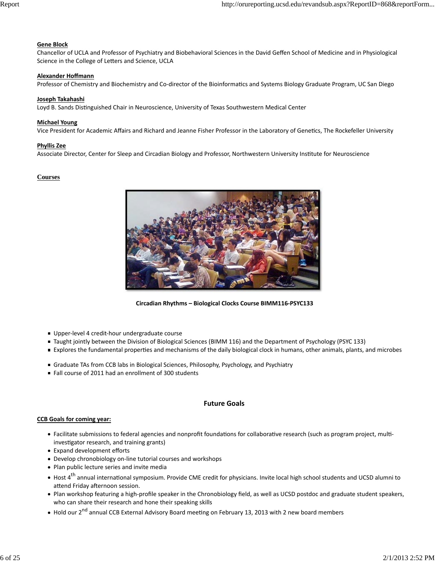#### **Gene Block**

Chancellor of UCLA and Professor of Psychiatry and Biobehavioral Sciences in the David Geffen School of Medicine and in Physiological Science in the College of Letters and Science, UCLA

#### **Alexander Hoffmann**

Professor of Chemistry and Biochemistry and Co-director of the Bioinformatics and Systems Biology Graduate Program, UC San Diego

#### **Joseph Takahashi**

Loyd B. Sands Distinguished Chair in Neuroscience, University of Texas Southwestern Medical Center

#### **Michael Young**

Vice President for Academic Affairs and Richard and Jeanne Fisher Professor in the Laboratory of Genetics, The Rockefeller University

#### **Phyllis Zee**

Associate Director, Center for Sleep and Circadian Biology and Professor, Northwestern University Institute for Neuroscience

#### **Courses**



 **Circadian Rhythms – Biological Clocks Course BIMM116‐PSYC133**

- Upper-level 4 credit-hour undergraduate course
- Taught jointly between the Division of Biological Sciences (BIMM 116) and the Department of Psychology (PSYC 133)
- Explores the fundamental properties and mechanisms of the daily biological clock in humans, other animals, plants, and microbes
- Graduate TAs from CCB labs in Biological Sciences, Philosophy, Psychology, and Psychiatry
- Fall course of 2011 had an enrollment of 300 students

#### **Future Goals**

#### **CCB Goals for coming year:**

- Facilitate submissions to federal agencies and nonprofit foundations for collaborative research (such as program project, multiinvestigator research, and training grants)
- Expand development efforts
- Develop chronobiology on-line tutorial courses and workshops
- Plan public lecture series and invite media
- $\bullet$  Host 4<sup>th</sup> annual international symposium. Provide CME credit for physicians. Invite local high school students and UCSD alumni to attend Friday afternoon session.
- Plan workshop featuring a high-profile speaker in the Chronobiology field, as well as UCSD postdoc and graduate student speakers, who can share their research and hone their speaking skills
- $\bullet\,$  Hold our 2<sup>nd</sup> annual CCB External Advisory Board meeting on February 13, 2013 with 2 new board members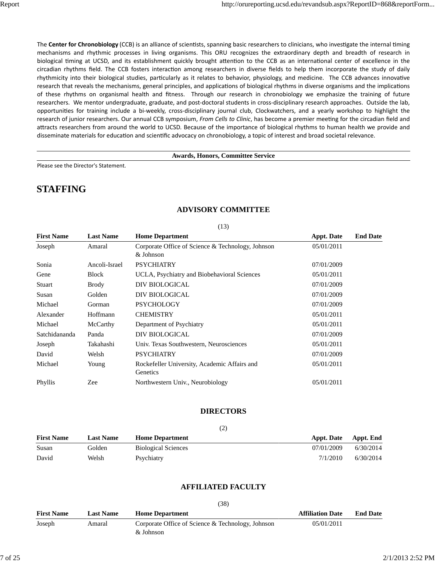The **Center for Chronobiology** (CCB) is an alliance of scientists, spanning basic researchers to clinicians, who investigate the internal timing mechanisms and rhythmic processes in living organisms. This ORU recognizes the extraordinary depth and breadth of research in biological timing at UCSD, and its establishment quickly brought attention to the CCB as an international center of excellence in the circadian rhythms field. The CCB fosters interaction among researchers in diverse fields to help them incorporate the study of daily rhythmicity into their biological studies, particularly as it relates to behavior, physiology, and medicine. The CCB advances innovative research that reveals the mechanisms, general principles, and applications of biological rhythms in diverse organisms and the implications of these rhythms on organismal health and fitness. Through our research in chronobiology we emphasize the training of future researchers. We mentor undergraduate, graduate, and post-doctoral students in cross-disciplinary research approaches. Outside the lab, opportunities for training include a bi‐weekly, cross‐disciplinary journal club, Clockwatchers, and a yearly workshop to highlight the research of junior researchers. Our annual CCB symposium, From Cells to Clinic, has become a premier meeting for the circadian field and attracts researchers from around the world to UCSD. Because of the importance of biological rhythms to human health we provide and disseminate materials for education and scientific advocacy on chronobiology, a topic of interest and broad societal relevance.

#### **Awards, Honors, Committee Service**

Please see the Director's Statement.

## **STAFFING**

| <b>First Name</b> | <b>Last Name</b> | $\sqrt{1}$<br><b>Home Department</b>                           | <b>Appt. Date</b> | <b>End Date</b> |
|-------------------|------------------|----------------------------------------------------------------|-------------------|-----------------|
| Joseph            | Amaral           | Corporate Office of Science & Technology, Johnson<br>& Johnson | 05/01/2011        |                 |
| Sonia             | Ancoli-Israel    | <b>PSYCHIATRY</b>                                              | 07/01/2009        |                 |
| Gene              | Block            | UCLA, Psychiatry and Biobehavioral Sciences                    | 05/01/2011        |                 |
| Stuart            | <b>Brody</b>     | DIV BIOLOGICAL                                                 | 07/01/2009        |                 |
| Susan             | Golden           | DIV BIOLOGICAL                                                 | 07/01/2009        |                 |
| Michael           | Gorman           | <b>PSYCHOLOGY</b>                                              | 07/01/2009        |                 |
| Alexander         | Hoffmann         | <b>CHEMISTRY</b>                                               | 05/01/2011        |                 |
| Michael           | McCarthy         | Department of Psychiatry                                       | 05/01/2011        |                 |
| Satchidananda     | Panda            | DIV BIOLOGICAL                                                 | 07/01/2009        |                 |
| Joseph            | Takahashi        | Univ. Texas Southwestern, Neurosciences                        | 05/01/2011        |                 |
| David             | Welsh            | <b>PSYCHIATRY</b>                                              | 07/01/2009        |                 |
| Michael           | Young            | Rockefeller University, Academic Affairs and<br>Genetics       | 05/01/2011        |                 |
| Phyllis           | Zee              | Northwestern Univ., Neurobiology                               | 05/01/2011        |                 |

### **ADVISORY COMMITTEE**

#### $(13)$

#### **DIRECTORS**

(2)

| <b>First Name</b> | <b>Last Name</b> | <b>Home Department</b>     | <b>Appt. Date</b> | Appt. End |
|-------------------|------------------|----------------------------|-------------------|-----------|
| Susan             | Golden           | <b>Biological Sciences</b> | 07/01/2009        | 6/30/2014 |
| David             | Welsh            | Psychiatry                 | 7/1/2010          | 6/30/2014 |

#### **AFFILIATED FACULTY**

|                   | (38)             |                                                                |                         |                 |  |
|-------------------|------------------|----------------------------------------------------------------|-------------------------|-----------------|--|
| <b>First Name</b> | <b>Last Name</b> | <b>Home Department</b>                                         | <b>Affiliation Date</b> | <b>End Date</b> |  |
| Joseph            | Amaral           | Corporate Office of Science & Technology, Johnson<br>& Johnson | 05/01/2011              |                 |  |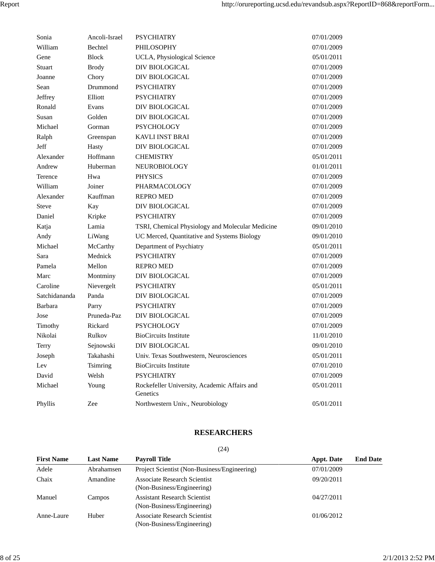| Sonia          | Ancoli-Israel | PSYCHIATRY                                               | 07/01/2009 |
|----------------|---------------|----------------------------------------------------------|------------|
| William        | Bechtel       | PHILOSOPHY                                               | 07/01/2009 |
| Gene           | <b>Block</b>  | UCLA, Physiological Science                              | 05/01/2011 |
| Stuart         | <b>Brody</b>  | DIV BIOLOGICAL                                           | 07/01/2009 |
| Joanne         | Chory         | DIV BIOLOGICAL                                           | 07/01/2009 |
| Sean           | Drummond      | <b>PSYCHIATRY</b>                                        | 07/01/2009 |
| Jeffrey        | Elliott       | <b>PSYCHIATRY</b>                                        | 07/01/2009 |
| Ronald         | Evans         | <b>DIV BIOLOGICAL</b>                                    | 07/01/2009 |
| Susan          | Golden        | DIV BIOLOGICAL                                           | 07/01/2009 |
| Michael        | Gorman        | <b>PSYCHOLOGY</b>                                        | 07/01/2009 |
| Ralph          | Greenspan     | <b>KAVLI INST BRAI</b>                                   | 07/01/2009 |
| Jeff           | Hasty         | DIV BIOLOGICAL                                           | 07/01/2009 |
| Alexander      | Hoffmann      | <b>CHEMISTRY</b>                                         | 05/01/2011 |
| Andrew         | Huberman      | NEUROBIOLOGY                                             | 01/01/2011 |
| Terence        | Hwa           | <b>PHYSICS</b>                                           | 07/01/2009 |
| William        | Joiner        | <b>PHARMACOLOGY</b>                                      | 07/01/2009 |
| Alexander      | Kauffman      | <b>REPRO MED</b>                                         | 07/01/2009 |
| <b>Steve</b>   | Kay           | DIV BIOLOGICAL                                           | 07/01/2009 |
| Daniel         | Kripke        | <b>PSYCHIATRY</b>                                        | 07/01/2009 |
| Katja          | Lamia         | TSRI, Chemical Physiology and Molecular Medicine         | 09/01/2010 |
| Andy           | LiWang        | UC Merced, Quantitative and Systems Biology              | 09/01/2010 |
| Michael        | McCarthy      | Department of Psychiatry                                 | 05/01/2011 |
| Sara           | Mednick       | <b>PSYCHIATRY</b>                                        | 07/01/2009 |
| Pamela         | Mellon        | <b>REPRO MED</b>                                         | 07/01/2009 |
| Marc           | Montminy      | DIV BIOLOGICAL                                           | 07/01/2009 |
| Caroline       | Nievergelt    | <b>PSYCHIATRY</b>                                        | 05/01/2011 |
| Satchidananda  | Panda         | DIV BIOLOGICAL                                           | 07/01/2009 |
| <b>Barbara</b> | Parry         | <b>PSYCHIATRY</b>                                        | 07/01/2009 |
| Jose           | Pruneda-Paz   | DIV BIOLOGICAL                                           | 07/01/2009 |
| Timothy        | Rickard       | <b>PSYCHOLOGY</b>                                        | 07/01/2009 |
| Nikolai        | Rulkov        | <b>BioCircuits Institute</b>                             | 11/01/2010 |
| Terry          | Sejnowski     | DIV BIOLOGICAL                                           | 09/01/2010 |
| Joseph         | Takahashi     | Univ. Texas Southwestern, Neurosciences                  | 05/01/2011 |
| Lev            | Tsimring      | <b>BioCircuits Institute</b>                             | 07/01/2010 |
| David          | Welsh         | <b>PSYCHIATRY</b>                                        | 07/01/2009 |
| Michael        | Young         | Rockefeller University, Academic Affairs and<br>Genetics | 05/01/2011 |
| Phyllis        | Zee           | Northwestern Univ., Neurobiology                         | 05/01/2011 |

## **RESEARCHERS**

(24)

| <b>First Name</b> | <b>Last Name</b> | <b>Payroll Title</b>                                              | <b>Appt.</b> Date | <b>End Date</b> |
|-------------------|------------------|-------------------------------------------------------------------|-------------------|-----------------|
| Adele             | Abrahamsen       | Project Scientist (Non-Business/Engineering)                      | 07/01/2009        |                 |
| Chaix             | Amandine         | Associate Research Scientist<br>(Non-Business/Engineering)        | 09/20/2011        |                 |
| Manuel            | Campos           | <b>Assistant Research Scientist</b><br>(Non-Business/Engineering) | 04/27/2011        |                 |
| Anne-Laure        | Huber            | <b>Associate Research Scientist</b><br>(Non-Business/Engineering) | 01/06/2012        |                 |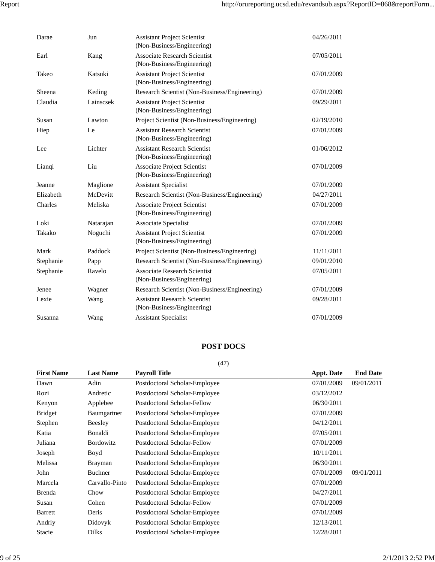| Darae     | Jun       | <b>Assistant Project Scientist</b><br>(Non-Business/Engineering)  | 04/26/2011 |
|-----------|-----------|-------------------------------------------------------------------|------------|
| Earl      | Kang      | <b>Associate Research Scientist</b><br>(Non-Business/Engineering) | 07/05/2011 |
| Takeo     | Katsuki   | <b>Assistant Project Scientist</b><br>(Non-Business/Engineering)  | 07/01/2009 |
| Sheena    | Keding    | Research Scientist (Non-Business/Engineering)                     | 07/01/2009 |
| Claudia   | Lainscsek | <b>Assistant Project Scientist</b><br>(Non-Business/Engineering)  | 09/29/2011 |
| Susan     | Lawton    | Project Scientist (Non-Business/Engineering)                      | 02/19/2010 |
| Hiep      | Le        | <b>Assistant Research Scientist</b><br>(Non-Business/Engineering) | 07/01/2009 |
| Lee       | Lichter   | <b>Assistant Research Scientist</b><br>(Non-Business/Engineering) | 01/06/2012 |
| Liangi    | Liu       | <b>Associate Project Scientist</b><br>(Non-Business/Engineering)  | 07/01/2009 |
| Jeanne    | Maglione  | <b>Assistant Specialist</b>                                       | 07/01/2009 |
| Elizabeth | McDevitt  | Research Scientist (Non-Business/Engineering)                     | 04/27/2011 |
| Charles   | Meliska   | <b>Associate Project Scientist</b><br>(Non-Business/Engineering)  | 07/01/2009 |
| Loki      | Natarajan | Associate Specialist                                              | 07/01/2009 |
| Takako    | Noguchi   | <b>Assistant Project Scientist</b><br>(Non-Business/Engineering)  | 07/01/2009 |
| Mark      | Paddock   | Project Scientist (Non-Business/Engineering)                      | 11/11/2011 |
| Stephanie | Papp      | Research Scientist (Non-Business/Engineering)                     | 09/01/2010 |
| Stephanie | Ravelo    | <b>Associate Research Scientist</b><br>(Non-Business/Engineering) | 07/05/2011 |
| Jenee     | Wagner    | Research Scientist (Non-Business/Engineering)                     | 07/01/2009 |
| Lexie     | Wang      | <b>Assistant Research Scientist</b><br>(Non-Business/Engineering) | 09/28/2011 |
| Susanna   | Wang      | <b>Assistant Specialist</b>                                       | 07/01/2009 |

## **POST DOCS**

(47)

| <b>First Name</b> | <b>Last Name</b> | <b>Payroll Title</b>          | <b>Appt. Date</b> | <b>End Date</b> |
|-------------------|------------------|-------------------------------|-------------------|-----------------|
| Dawn              | Adin             | Postdoctoral Scholar-Employee | 07/01/2009        | 09/01/2011      |
| Rozi              | Andretic         | Postdoctoral Scholar-Employee | 03/12/2012        |                 |
| Kenyon            | Applebee         | Postdoctoral Scholar-Fellow   | 06/30/2011        |                 |
| <b>Bridget</b>    | Baumgartner      | Postdoctoral Scholar-Employee | 07/01/2009        |                 |
| Stephen           | Beesley          | Postdoctoral Scholar-Employee | 04/12/2011        |                 |
| Katia             | Bonaldi          | Postdoctoral Scholar-Employee | 07/05/2011        |                 |
| Juliana           | <b>Bordowitz</b> | Postdoctoral Scholar-Fellow   | 07/01/2009        |                 |
| Joseph            | Boyd             | Postdoctoral Scholar-Employee | 10/11/2011        |                 |
| Melissa           | <b>Brayman</b>   | Postdoctoral Scholar-Employee | 06/30/2011        |                 |
| John              | Buchner          | Postdoctoral Scholar-Employee | 07/01/2009        | 09/01/2011      |
| Marcela           | Carvallo-Pinto   | Postdoctoral Scholar-Employee | 07/01/2009        |                 |
| <b>Brenda</b>     | Chow             | Postdoctoral Scholar-Employee | 04/27/2011        |                 |
| Susan             | Cohen            | Postdoctoral Scholar-Fellow   | 07/01/2009        |                 |
| <b>Barrett</b>    | Deris            | Postdoctoral Scholar-Employee | 07/01/2009        |                 |
| Andriy            | Didovyk          | Postdoctoral Scholar-Employee | 12/13/2011        |                 |
| Stacie            | <b>Dilks</b>     | Postdoctoral Scholar-Employee | 12/28/2011        |                 |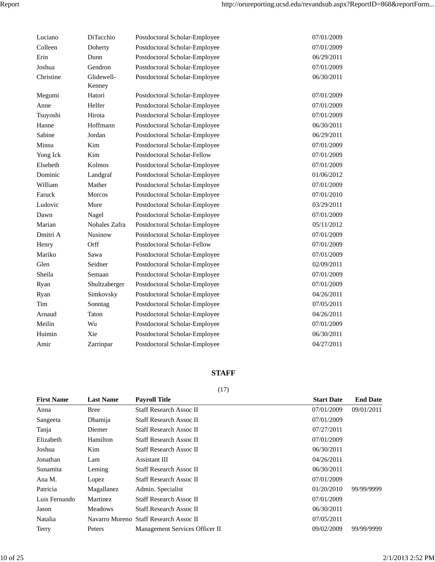| Luciano   | DiTacchio      | Postdoctoral Scholar-Employee | 07/01/2009 |
|-----------|----------------|-------------------------------|------------|
| Colleen   | Doherty        | Postdoctoral Scholar-Employee | 07/01/2009 |
| Erin      | Dunn           | Postdoctoral Scholar-Employee | 06/29/2011 |
| Joshua    | Gendron        | Postdoctoral Scholar-Employee | 07/01/2009 |
| Christine | Glidewell-     | Postdoctoral Scholar-Employee | 06/30/2011 |
|           | Kenney         |                               |            |
| Megumi    | Hatori         | Postdoctoral Scholar-Employee | 07/01/2009 |
| Anne      | Helfer         | Postdoctoral Scholar-Employee | 07/01/2009 |
| Tsuyoshi  | Hirota         | Postdoctoral Scholar-Employee | 07/01/2009 |
| Hanne     | Hoffmann       | Postdoctoral Scholar-Employee | 06/30/2011 |
| Sabine    | Jordan         | Postdoctoral Scholar-Employee | 06/29/2011 |
| Minsu     | Kim            | Postdoctoral Scholar-Employee | 07/01/2009 |
| Yong Ick  | Kim            | Postdoctoral Scholar-Fellow   | 07/01/2009 |
| Elsebeth  | Kolmos         | Postdoctoral Scholar-Employee | 07/01/2009 |
| Dominic   | Landgraf       | Postdoctoral Scholar-Employee | 01/06/2012 |
| William   | Mather         | Postdoctoral Scholar-Employee | 07/01/2009 |
| Faruck    | <b>Morcos</b>  | Postdoctoral Scholar-Employee | 07/01/2010 |
| Ludovic   | Mure           | Postdoctoral Scholar-Employee | 03/29/2011 |
| Dawn      | Nagel          | Postdoctoral Scholar-Employee | 07/01/2009 |
| Marian    | Nohales Zafra  | Postdoctoral Scholar-Employee | 05/11/2012 |
| Dmitri A  | <b>Nusinow</b> | Postdoctoral Scholar-Employee | 07/01/2009 |
| Henry     | Orff           | Postdoctoral Scholar-Fellow   | 07/01/2009 |
| Mariko    | Sawa           | Postdoctoral Scholar-Employee | 07/01/2009 |
| Glen      | Seidner        | Postdoctoral Scholar-Employee | 02/09/2011 |
| Sheila    | Semaan         | Postdoctoral Scholar-Employee | 07/01/2009 |
| Ryan      | Shultzaberger  | Postdoctoral Scholar-Employee | 07/01/2009 |
| Ryan      | Simkovsky      | Postdoctoral Scholar-Employee | 04/26/2011 |
| Tim       | Sonntag        | Postdoctoral Scholar-Employee | 07/05/2011 |
| Arnaud    | Taton          | Postdoctoral Scholar-Employee | 04/26/2011 |
| Meilin    | Wu             | Postdoctoral Scholar-Employee | 07/01/2009 |
| Huimin    | Xie            | Postdoctoral Scholar-Employee | 06/30/2011 |
| Amir      | Zarrinpar      | Postdoctoral Scholar-Employee | 04/27/2011 |
|           |                |                               |            |

## **STAFF**

## (17)

| <b>First Name</b> | <b>Last Name</b> | <b>Payroll Title</b>                   | <b>Start Date</b> | <b>End Date</b> |
|-------------------|------------------|----------------------------------------|-------------------|-----------------|
| Anna              | Bree             | <b>Staff Research Assoc II</b>         | 07/01/2009        | 09/01/2011      |
| Sangeeta          | Dhamija          | <b>Staff Research Assoc II</b>         | 07/01/2009        |                 |
| Tanja             | Diemer           | <b>Staff Research Assoc II</b>         | 07/27/2011        |                 |
| Elizabeth         | Hamilton         | <b>Staff Research Assoc II</b>         | 07/01/2009        |                 |
| Joshua            | Kim              | <b>Staff Research Assoc II</b>         | 06/30/2011        |                 |
| Jonathan          | Lam              | Assistant III                          | 04/26/2011        |                 |
| Sunamita          | Leming           | <b>Staff Research Assoc II</b>         | 06/30/2011        |                 |
| Ana M.            | Lopez            | <b>Staff Research Assoc II</b>         | 07/01/2009        |                 |
| Patricia          | Magallanez       | Admin. Specialist                      | 01/20/2010        | 99/99/9999      |
| Luis Fernando     | Martinez         | <b>Staff Research Assoc II</b>         | 07/01/2009        |                 |
| Jason             | <b>Meadows</b>   | <b>Staff Research Assoc II</b>         | 06/30/2011        |                 |
| Natalia           |                  | Navarro Moreno Staff Research Assoc II | 07/05/2011        |                 |
| Terry             | Peters           | Management Services Officer II         | 09/02/2009        | 99/99/9999      |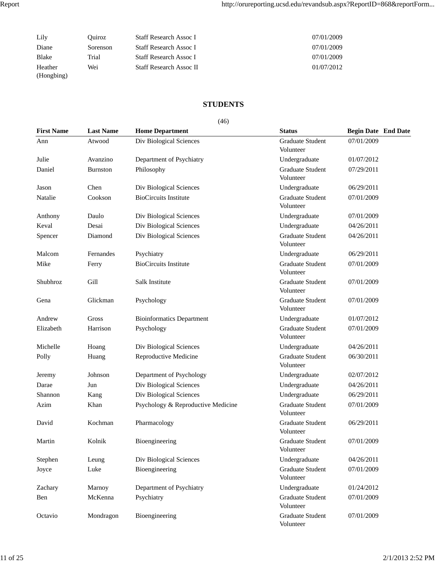| Lily                  | Ouiroz   | <b>Staff Research Assoc I</b>  | 07/01/2009 |
|-----------------------|----------|--------------------------------|------------|
| Diane                 | Sorenson | <b>Staff Research Assoc I</b>  | 07/01/2009 |
| <b>Blake</b>          | Trial    | <b>Staff Research Assoc I</b>  | 07/01/2009 |
| Heather<br>(Hongbing) | Wei      | <b>Staff Research Assoc II</b> | 01/07/2012 |

### **STUDENTS**

#### (46)

| <b>First Name</b> | <b>Last Name</b> | <b>Home Department</b>             | <b>Status</b>                        | <b>Begin Date End Date</b> |
|-------------------|------------------|------------------------------------|--------------------------------------|----------------------------|
| Ann               | Atwood           | Div Biological Sciences            | Graduate Student<br>Volunteer        | 07/01/2009                 |
| Julie             | Avanzino         | Department of Psychiatry           | Undergraduate                        | 01/07/2012                 |
| Daniel            | <b>Burnston</b>  | Philosophy                         | Graduate Student<br>Volunteer        | 07/29/2011                 |
| Jason             | Chen             | Div Biological Sciences            | Undergraduate                        | 06/29/2011                 |
| Natalie           | Cookson          | <b>BioCircuits Institute</b>       | <b>Graduate Student</b><br>Volunteer | 07/01/2009                 |
| Anthony           | Daulo            | Div Biological Sciences            | Undergraduate                        | 07/01/2009                 |
| Keval             | Desai            | Div Biological Sciences            | Undergraduate                        | 04/26/2011                 |
| Spencer           | Diamond          | Div Biological Sciences            | <b>Graduate Student</b><br>Volunteer | 04/26/2011                 |
| Malcom            | Fernandes        | Psychiatry                         | Undergraduate                        | 06/29/2011                 |
| Mike              | Ferry            | <b>BioCircuits Institute</b>       | Graduate Student<br>Volunteer        | 07/01/2009                 |
| Shubhroz          | Gill             | Salk Institute                     | Graduate Student<br>Volunteer        | 07/01/2009                 |
| Gena              | Glickman         | Psychology                         | <b>Graduate Student</b><br>Volunteer | 07/01/2009                 |
| Andrew            | Gross            | <b>Bioinformatics Department</b>   | Undergraduate                        | 01/07/2012                 |
| Elizabeth         | Harrison         | Psychology                         | Graduate Student<br>Volunteer        | 07/01/2009                 |
| Michelle          | Hoang            | Div Biological Sciences            | Undergraduate                        | 04/26/2011                 |
| Polly             | Huang            | Reproductive Medicine              | <b>Graduate Student</b><br>Volunteer | 06/30/2011                 |
| Jeremy            | Johnson          | Department of Psychology           | Undergraduate                        | 02/07/2012                 |
| Darae             | Jun              | Div Biological Sciences            | Undergraduate                        | 04/26/2011                 |
| Shannon           | Kang             | Div Biological Sciences            | Undergraduate                        | 06/29/2011                 |
| Azim              | Khan             | Psychology & Reproductive Medicine | Graduate Student<br>Volunteer        | 07/01/2009                 |
| David             | Kochman          | Pharmacology                       | Graduate Student<br>Volunteer        | 06/29/2011                 |
| Martin            | Kolnik           | Bioengineering                     | Graduate Student<br>Volunteer        | 07/01/2009                 |
| Stephen           | Leung            | Div Biological Sciences            | Undergraduate                        | 04/26/2011                 |
| Joyce             | Luke             | Bioengineering                     | <b>Graduate Student</b><br>Volunteer | 07/01/2009                 |
| Zachary           | Marnoy           | Department of Psychiatry           | Undergraduate                        | 01/24/2012                 |
| Ben               | McKenna          | Psychiatry                         | Graduate Student<br>Volunteer        | 07/01/2009                 |
| Octavio           | Mondragon        | Bioengineering                     | Graduate Student<br>Volunteer        | 07/01/2009                 |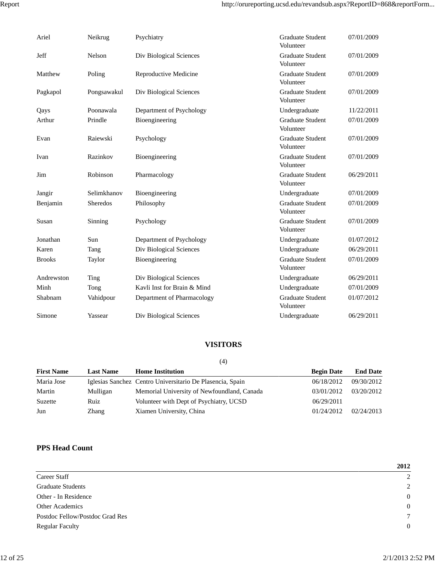| Ariel         | Neikrug     | Psychiatry                  | Graduate Student<br>Volunteer        | 07/01/2009 |
|---------------|-------------|-----------------------------|--------------------------------------|------------|
| Jeff          | Nelson      | Div Biological Sciences     | Graduate Student<br>Volunteer        | 07/01/2009 |
| Matthew       | Poling      | Reproductive Medicine       | <b>Graduate Student</b><br>Volunteer | 07/01/2009 |
| Pagkapol      | Pongsawakul | Div Biological Sciences     | <b>Graduate Student</b><br>Volunteer | 07/01/2009 |
| Qays          | Poonawala   | Department of Psychology    | Undergraduate                        | 11/22/2011 |
| Arthur        | Prindle     | Bioengineering              | <b>Graduate Student</b><br>Volunteer | 07/01/2009 |
| Evan          | Raiewski    | Psychology                  | <b>Graduate Student</b><br>Volunteer | 07/01/2009 |
| Ivan          | Razinkov    | Bioengineering              | <b>Graduate Student</b><br>Volunteer | 07/01/2009 |
| Jim           | Robinson    | Pharmacology                | <b>Graduate Student</b><br>Volunteer | 06/29/2011 |
| Jangir        | Selimkhanov | Bioengineering              | Undergraduate                        | 07/01/2009 |
| Benjamin      | Sheredos    | Philosophy                  | <b>Graduate Student</b><br>Volunteer | 07/01/2009 |
| Susan         | Sinning     | Psychology                  | <b>Graduate Student</b><br>Volunteer | 07/01/2009 |
| Jonathan      | Sun         | Department of Psychology    | Undergraduate                        | 01/07/2012 |
| Karen         | Tang        | Div Biological Sciences     | Undergraduate                        | 06/29/2011 |
| <b>Brooks</b> | Taylor      | Bioengineering              | <b>Graduate Student</b><br>Volunteer | 07/01/2009 |
| Andrewston    | Ting        | Div Biological Sciences     | Undergraduate                        | 06/29/2011 |
| Minh          | Tong        | Kayli Inst for Brain & Mind | Undergraduate                        | 07/01/2009 |
| Shabnam       | Vahidpour   | Department of Pharmacology  | <b>Graduate Student</b><br>Volunteer | 01/07/2012 |
| Simone        | Yassear     | Div Biological Sciences     | Undergraduate                        | 06/29/2011 |

## **VISITORS**

(4)

| <b>First Name</b> | <b>Last Name</b> | <b>Home Institution</b>                                   | <b>Begin Date</b> | <b>End Date</b> |
|-------------------|------------------|-----------------------------------------------------------|-------------------|-----------------|
| Maria Jose        |                  | Iglesias Sanchez Centro Universitario De Plasencia, Spain | 06/18/2012        | 09/30/2012      |
| Martin            | Mulligan         | Memorial University of Newfoundland, Canada               | 03/01/2012        | 03/20/2012      |
| Suzette           | Ruiz             | Volunteer with Dept of Psychiatry, UCSD                   | 06/29/2011        |                 |
| Jun               | <b>Zhang</b>     | Xiamen University, China                                  | 01/24/2012        | 02/24/2013      |

## **PPS Head Count**

|                                 | 2012           |
|---------------------------------|----------------|
| Career Staff                    | 2              |
| <b>Graduate Students</b>        | 2              |
| Other - In Residence            | $\overline{0}$ |
| <b>Other Academics</b>          | $\overline{0}$ |
| Postdoc Fellow/Postdoc Grad Res | $\tau$         |
| <b>Regular Faculty</b>          | $\overline{0}$ |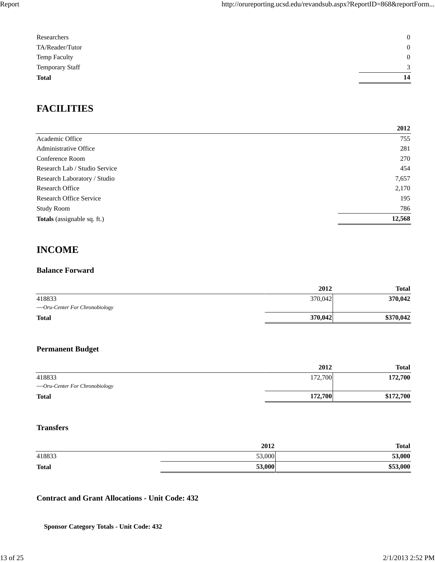| Researchers            | $\mathbf{0}$ |
|------------------------|--------------|
| TA/Reader/Tutor        | $\mathbf{0}$ |
| Temp Faculty           | $\mathbf{0}$ |
| <b>Temporary Staff</b> | 3            |
| <b>Total</b>           | 14           |
|                        |              |

## **FACILITIES**

|                                    | 2012   |
|------------------------------------|--------|
| Academic Office                    | 755    |
| Administrative Office              | 281    |
| Conference Room                    | 270    |
| Research Lab / Studio Service      | 454    |
| Research Laboratory / Studio       | 7,657  |
| Research Office                    | 2,170  |
| <b>Research Office Service</b>     | 195    |
| <b>Study Room</b>                  | 786    |
| <b>Totals</b> (assignable sq. ft.) | 12,568 |

## **INCOME**

### **Balance Forward**

|                                | 2012    | <b>Total</b> |
|--------------------------------|---------|--------------|
| 418833                         | 370,042 | 370,042      |
| — Oru-Center For Chronobiology |         |              |
| <b>Total</b>                   | 370,042 | \$370,042    |

## **Permanent Budget**

|                               | 2012    | <b>Total</b> |
|-------------------------------|---------|--------------|
| 418833                        | 172,700 | 172,700      |
| —Oru-Center For Chronobiology |         |              |
| <b>Total</b>                  | 172,700 | \$172,700    |

### **Transfers**

| 2012 | <b>Total</b>     |
|------|------------------|
|      | 53,000           |
|      | \$53,000         |
|      | 53,000<br>53,000 |

## **Contract and Grant Allocations - Unit Code: 432**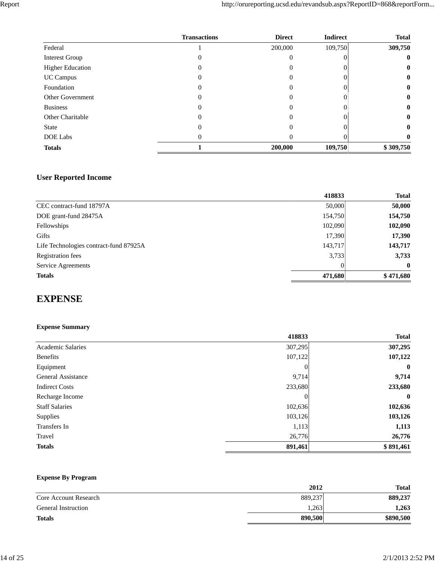|                         | <b>Transactions</b> | <b>Direct</b> | <b>Indirect</b> | <b>Total</b> |
|-------------------------|---------------------|---------------|-----------------|--------------|
| Federal                 |                     | 200,000       | 109,750         | 309,750      |
| <b>Interest Group</b>   |                     | $\theta$      |                 | $\bf{0}$     |
| <b>Higher Education</b> |                     | 0             |                 | $\bf{0}$     |
| <b>UC Campus</b>        |                     | $\theta$      |                 | $\bf{0}$     |
| Foundation              |                     | $\theta$      |                 | $\bf{0}$     |
| <b>Other Government</b> |                     | $\theta$      |                 | $\bf{0}$     |
| <b>Business</b>         |                     | $\Omega$      |                 | $\bf{0}$     |
| <b>Other Charitable</b> | 0                   | 0             |                 | $\bf{0}$     |
| <b>State</b>            |                     | 0             |                 | $\bf{0}$     |
| DOE Labs                |                     | 0             |                 | 0            |
| <b>Totals</b>           |                     | 200,000       | 109,750         | \$309,750    |

## **User Reported Income**

|                                        | 418833  | <b>Total</b> |
|----------------------------------------|---------|--------------|
| CEC contract-fund 18797A               | 50,000  | 50,000       |
| DOE grant-fund 28475A                  | 154,750 | 154,750      |
| Fellowships                            | 102,090 | 102,090      |
| <b>Gifts</b>                           | 17,390  | 17,390       |
| Life Technologies contract-fund 87925A | 143,717 | 143,717      |
| <b>Registration</b> fees               | 3,733   | 3,733        |
| Service Agreements                     |         | $\mathbf{0}$ |
| <b>Totals</b>                          | 471,680 | \$471,680    |

## **EXPENSE**

## **Expense Summary**

| 418833   | <b>Total</b> |
|----------|--------------|
| 307,295  | 307,295      |
| 107,122  | 107,122      |
| 0        | $\bf{0}$     |
| 9,714    | 9,714        |
| 233,680  | 233,680      |
| $\theta$ | $\bf{0}$     |
| 102,636  | 102,636      |
|          | 103,126      |
| 1,113    | 1,113        |
| 26,776   | 26,776       |
| 891,461  | \$891,461    |
|          | 103,126      |

## **Expense By Program**

|                              | 2012    | Total     |
|------------------------------|---------|-----------|
| <b>Core Account Research</b> | 889,237 | 889,237   |
| <b>General Instruction</b>   | 1,263   | 1,263     |
| <b>Totals</b>                | 890,500 | \$890,500 |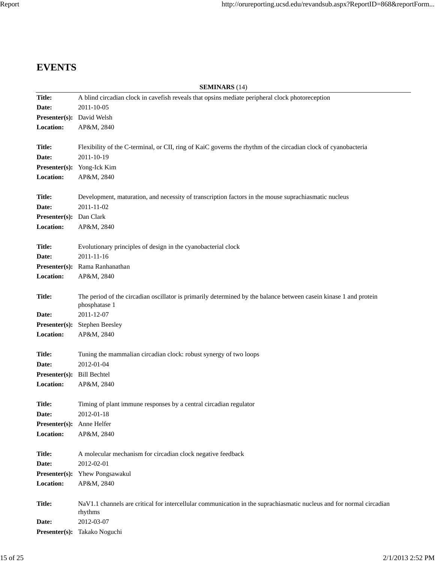## **EVENTS**

|                            | <b>SEMINARS</b> (14)                                                                                                 |
|----------------------------|----------------------------------------------------------------------------------------------------------------------|
| <b>Title:</b>              | A blind circadian clock in cavefish reveals that opsins mediate peripheral clock photoreception                      |
| Date:                      | 2011-10-05                                                                                                           |
| Presenter(s): David Welsh  |                                                                                                                      |
| Location:                  | AP&M, 2840                                                                                                           |
|                            |                                                                                                                      |
| Title:                     | Flexibility of the C-terminal, or CII, ring of KaiC governs the rhythm of the circadian clock of cyanobacteria       |
| Date:                      | 2011-10-19                                                                                                           |
|                            | Presenter(s): Yong-Ick Kim                                                                                           |
| Location:                  | AP&M, 2840                                                                                                           |
|                            |                                                                                                                      |
| <b>Title:</b>              | Development, maturation, and necessity of transcription factors in the mouse suprachiasmatic nucleus                 |
| Date:                      | 2011-11-02                                                                                                           |
| Presenter(s): Dan Clark    |                                                                                                                      |
| Location:                  | AP&M, 2840                                                                                                           |
|                            |                                                                                                                      |
| <b>Title:</b>              | Evolutionary principles of design in the cyanobacterial clock                                                        |
| Date:                      | 2011-11-16                                                                                                           |
|                            | Presenter(s): Rama Ranhanathan                                                                                       |
| Location:                  | AP&M, 2840                                                                                                           |
|                            |                                                                                                                      |
| <b>Title:</b>              | The period of the circadian oscillator is primarily determined by the balance between casein kinase 1 and protein    |
|                            | phosphatase 1                                                                                                        |
| Date:                      | 2011-12-07                                                                                                           |
|                            | <b>Presenter(s):</b> Stephen Beesley                                                                                 |
| Location:                  | AP&M, 2840                                                                                                           |
|                            |                                                                                                                      |
| <b>Title:</b>              | Tuning the mammalian circadian clock: robust synergy of two loops                                                    |
| Date:                      | 2012-01-04                                                                                                           |
| Presenter(s): Bill Bechtel |                                                                                                                      |
| Location:                  | AP&M, 2840                                                                                                           |
| <b>Title:</b>              | Timing of plant immune responses by a central circadian regulator                                                    |
| Date:                      | 2012-01-18                                                                                                           |
| Presenter(s): Anne Helfer  |                                                                                                                      |
| Location:                  | AP&M, 2840                                                                                                           |
|                            |                                                                                                                      |
| <b>Title:</b>              | A molecular mechanism for circadian clock negative feedback                                                          |
| Date:                      | 2012-02-01                                                                                                           |
| Presenter(s):              | Yhew Pongsawakul                                                                                                     |
| Location:                  | AP&M, 2840                                                                                                           |
|                            |                                                                                                                      |
| <b>Title:</b>              | NaV1.1 channels are critical for intercellular communication in the suprachiasmatic nucleus and for normal circadian |
|                            | rhythms                                                                                                              |
| Date:                      | 2012-03-07                                                                                                           |
|                            | Presenter(s): Takako Noguchi                                                                                         |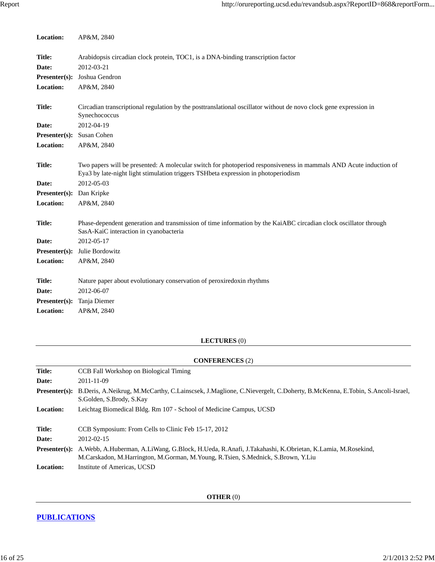| Location:       | AP&M, 2840                                                                                                                                                                                              |
|-----------------|---------------------------------------------------------------------------------------------------------------------------------------------------------------------------------------------------------|
|                 |                                                                                                                                                                                                         |
| Title:          | Arabidopsis circadian clock protein, TOC1, is a DNA-binding transcription factor                                                                                                                        |
| Date:           | 2012-03-21                                                                                                                                                                                              |
| Presenter(s):   | Joshua Gendron                                                                                                                                                                                          |
| Location:       | AP&M, 2840                                                                                                                                                                                              |
| Title:          | Circadian transcriptional regulation by the posttranslational oscillator without de novo clock gene expression in<br>Synechococcus                                                                      |
| Date:           | 2012-04-19                                                                                                                                                                                              |
| $Presenter(s):$ | Susan Cohen                                                                                                                                                                                             |
| Location:       | AP&M, 2840                                                                                                                                                                                              |
|                 |                                                                                                                                                                                                         |
| Title:          | Two papers will be presented: A molecular switch for photoperiod responsiveness in mammals AND Acute induction of<br>Eya3 by late-night light stimulation triggers TSHbeta expression in photoperiodism |
| Date:           | 2012-05-03                                                                                                                                                                                              |
| Presenter(s):   | Dan Kripke                                                                                                                                                                                              |
| Location:       | AP&M, 2840                                                                                                                                                                                              |
|                 |                                                                                                                                                                                                         |
| Title:          | Phase-dependent generation and transmission of time information by the KaiABC circadian clock oscillator through<br>SasA-KaiC interaction in cyanobacteria                                              |
| Date:           | 2012-05-17                                                                                                                                                                                              |
| Presenter(s):   | Julie Bordowitz                                                                                                                                                                                         |
| Location:       | AP&M, 2840                                                                                                                                                                                              |
|                 |                                                                                                                                                                                                         |
| <b>Title:</b>   | Nature paper about evolutionary conservation of peroxiredoxin rhythms                                                                                                                                   |
| Date:           | 2012-06-07                                                                                                                                                                                              |
| Presenter(s):   | Tanja Diemer                                                                                                                                                                                            |
| Location:       | AP&M, 2840                                                                                                                                                                                              |
|                 |                                                                                                                                                                                                         |

## **LECTURES** (0)

## **CONFERENCES** (2)

| <b>Title:</b>    | CCB Fall Workshop on Biological Timing                                                                                                                                                                  |
|------------------|---------------------------------------------------------------------------------------------------------------------------------------------------------------------------------------------------------|
| Date:            | $2011 - 11 - 09$                                                                                                                                                                                        |
|                  | <b>Presenter(s):</b> B.Deris, A.Neikrug, M.McCarthy, C.Lainscsek, J.Maglione, C.Nievergelt, C.Doherty, B.McKenna, E.Tobin, S.Ancoli-Israel,<br>S.Golden, S.Brody, S.Kay                                 |
| <b>Location:</b> | Leichtag Biomedical Bldg. Rm 107 - School of Medicine Campus, UCSD                                                                                                                                      |
| Title:           | CCB Symposium: From Cells to Clinic Feb 15-17, 2012                                                                                                                                                     |
| Date:            | 2012-02-15                                                                                                                                                                                              |
|                  | Presenter(s): A.Webb, A.Huberman, A.LiWang, G.Block, H.Ueda, R.Anafi, J.Takahashi, K.Obrietan, K.Lamia, M.Rosekind,<br>M.Carskadon, M.Harrington, M.Gorman, M.Young, R.Tsien, S.Mednick, S.Brown, Y.Liu |
| <b>Location:</b> | Institute of Americas, UCSD                                                                                                                                                                             |

**OTHER** (0)

## **PUBLICATIONS**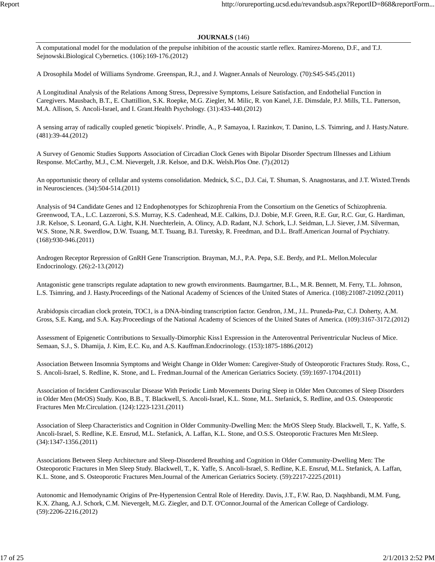#### **JOURNALS** (146)

A computational model for the modulation of the prepulse inhibition of the acoustic startle reflex. Ramirez-Moreno, D.F., and T.J. Sejnowski.Biological Cybernetics. (106):169-176.(2012)

A Drosophila Model of Williams Syndrome. Greenspan, R.J., and J. Wagner.Annals of Neurology. (70):S45-S45.(2011)

A Longitudinal Analysis of the Relations Among Stress, Depressive Symptoms, Leisure Satisfaction, and Endothelial Function in Caregivers. Mausbach, B.T., E. Chattillion, S.K. Roepke, M.G. Ziegler, M. Milic, R. von Kanel, J.E. Dimsdale, P.J. Mills, T.L. Patterson, M.A. Allison, S. Ancoli-Israel, and I. Grant.Health Psychology. (31):433-440.(2012)

A sensing array of radically coupled genetic 'biopixels'. Prindle, A., P. Samayoa, I. Razinkov, T. Danino, L.S. Tsimring, and J. Hasty.Nature. (481):39-44.(2012)

A Survey of Genomic Studies Supports Association of Circadian Clock Genes with Bipolar Disorder Spectrum Illnesses and Lithium Response. McCarthy, M.J., C.M. Nievergelt, J.R. Kelsoe, and D.K. Welsh.Plos One. (7).(2012)

An opportunistic theory of cellular and systems consolidation. Mednick, S.C., D.J. Cai, T. Shuman, S. Anagnostaras, and J.T. Wixted.Trends in Neurosciences. (34):504-514.(2011)

Analysis of 94 Candidate Genes and 12 Endophenotypes for Schizophrenia From the Consortium on the Genetics of Schizophrenia. Greenwood, T.A., L.C. Lazzeroni, S.S. Murray, K.S. Cadenhead, M.E. Calkins, D.J. Dobie, M.F. Green, R.E. Gur, R.C. Gur, G. Hardiman, J.R. Kelsoe, S. Leonard, G.A. Light, K.H. Nuechterlein, A. Olincy, A.D. Radant, N.J. Schork, L.J. Seidman, L.J. Siever, J.M. Silverman, W.S. Stone, N.R. Swerdlow, D.W. Tsuang, M.T. Tsuang, B.I. Turetsky, R. Freedman, and D.L. Braff.American Journal of Psychiatry. (168):930-946.(2011)

Androgen Receptor Repression of GnRH Gene Transcription. Brayman, M.J., P.A. Pepa, S.E. Berdy, and P.L. Mellon.Molecular Endocrinology. (26):2-13.(2012)

Antagonistic gene transcripts regulate adaptation to new growth environments. Baumgartner, B.L., M.R. Bennett, M. Ferry, T.L. Johnson, L.S. Tsimring, and J. Hasty.Proceedings of the National Academy of Sciences of the United States of America. (108):21087-21092.(2011)

Arabidopsis circadian clock protein, TOC1, is a DNA-binding transcription factor. Gendron, J.M., J.L. Pruneda-Paz, C.J. Doherty, A.M. Gross, S.E. Kang, and S.A. Kay.Proceedings of the National Academy of Sciences of the United States of America. (109):3167-3172.(2012)

Assessment of Epigenetic Contributions to Sexually-Dimorphic Kiss1 Expression in the Anteroventral Periventricular Nucleus of Mice. Semaan, S.J., S. Dhamija, J. Kim, E.C. Ku, and A.S. Kauffman.Endocrinology. (153):1875-1886.(2012)

Association Between Insomnia Symptoms and Weight Change in Older Women: Caregiver-Study of Osteoporotic Fractures Study. Ross, C., S. Ancoli-Israel, S. Redline, K. Stone, and L. Fredman.Journal of the American Geriatrics Society. (59):1697-1704.(2011)

Association of Incident Cardiovascular Disease With Periodic Limb Movements During Sleep in Older Men Outcomes of Sleep Disorders in Older Men (MrOS) Study. Koo, B.B., T. Blackwell, S. Ancoli-Israel, K.L. Stone, M.L. Stefanick, S. Redline, and O.S. Osteoporotic Fractures Men Mr.Circulation. (124):1223-1231.(2011)

Association of Sleep Characteristics and Cognition in Older Community-Dwelling Men: the MrOS Sleep Study. Blackwell, T., K. Yaffe, S. Ancoli-Israel, S. Redline, K.E. Ensrud, M.L. Stefanick, A. Laffan, K.L. Stone, and O.S.S. Osteoporotic Fractures Men Mr.Sleep. (34):1347-1356.(2011)

Associations Between Sleep Architecture and Sleep-Disordered Breathing and Cognition in Older Community-Dwelling Men: The Osteoporotic Fractures in Men Sleep Study. Blackwell, T., K. Yaffe, S. Ancoli-Israel, S. Redline, K.E. Ensrud, M.L. Stefanick, A. Laffan, K.L. Stone, and S. Osteoporotic Fractures Men.Journal of the American Geriatrics Society. (59):2217-2225.(2011)

Autonomic and Hemodynamic Origins of Pre-Hypertension Central Role of Heredity. Davis, J.T., F.W. Rao, D. Naqshbandi, M.M. Fung, K.X. Zhang, A.J. Schork, C.M. Nievergelt, M.G. Ziegler, and D.T. O'Connor.Journal of the American College of Cardiology. (59):2206-2216.(2012)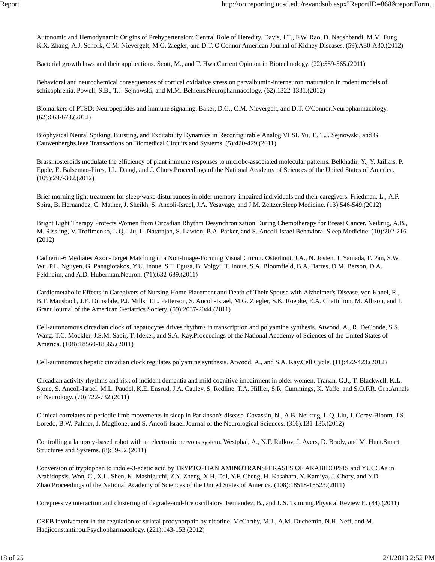Autonomic and Hemodynamic Origins of Prehypertension: Central Role of Heredity. Davis, J.T., F.W. Rao, D. Naqshbandi, M.M. Fung, K.X. Zhang, A.J. Schork, C.M. Nievergelt, M.G. Ziegler, and D.T. O'Connor.American Journal of Kidney Diseases. (59):A30-A30.(2012)

Bacterial growth laws and their applications. Scott, M., and T. Hwa.Current Opinion in Biotechnology. (22):559-565.(2011)

Behavioral and neurochemical consequences of cortical oxidative stress on parvalbumin-interneuron maturation in rodent models of schizophrenia. Powell, S.B., T.J. Sejnowski, and M.M. Behrens.Neuropharmacology. (62):1322-1331.(2012)

Biomarkers of PTSD: Neuropeptides and immune signaling. Baker, D.G., C.M. Nievergelt, and D.T. O'Connor.Neuropharmacology. (62):663-673.(2012)

Biophysical Neural Spiking, Bursting, and Excitability Dynamics in Reconfigurable Analog VLSI. Yu, T., T.J. Sejnowski, and G. Cauwenberghs.Ieee Transactions on Biomedical Circuits and Systems. (5):420-429.(2011)

Brassinosteroids modulate the efficiency of plant immune responses to microbe-associated molecular patterns. Belkhadir, Y., Y. Jaillais, P. Epple, E. Balsemao-Pires, J.L. Dangl, and J. Chory.Proceedings of the National Academy of Sciences of the United States of America. (109):297-302.(2012)

Brief morning light treatment for sleep/wake disturbances in older memory-impaired individuals and their caregivers. Friedman, L., A.P. Spira, B. Hernandez, C. Mather, J. Sheikh, S. Ancoli-Israel, J.A. Yesavage, and J.M. Zeitzer.Sleep Medicine. (13):546-549.(2012)

Bright Light Therapy Protects Women from Circadian Rhythm Desynchronization During Chemotherapy for Breast Cancer. Neikrug, A.B., M. Rissling, V. Trofimenko, L.Q. Liu, L. Natarajan, S. Lawton, B.A. Parker, and S. Ancoli-Israel.Behavioral Sleep Medicine. (10):202-216. (2012)

Cadherin-6 Mediates Axon-Target Matching in a Non-Image-Forming Visual Circuit. Osterhout, J.A., N. Josten, J. Yamada, F. Pan, S.W. Wu, P.L. Nguyen, G. Panagiotakos, Y.U. Inoue, S.F. Egusa, B. Volgyi, T. Inoue, S.A. Bloomfield, B.A. Barres, D.M. Berson, D.A. Feldheim, and A.D. Huberman.Neuron. (71):632-639.(2011)

Cardiometabolic Effects in Caregivers of Nursing Home Placement and Death of Their Spouse with Alzheimer's Disease. von Kanel, R., B.T. Mausbach, J.E. Dimsdale, P.J. Mills, T.L. Patterson, S. Ancoli-Israel, M.G. Ziegler, S.K. Roepke, E.A. Chattillion, M. Allison, and I. Grant.Journal of the American Geriatrics Society. (59):2037-2044.(2011)

Cell-autonomous circadian clock of hepatocytes drives rhythms in transcription and polyamine synthesis. Atwood, A., R. DeConde, S.S. Wang, T.C. Mockler, J.S.M. Sabir, T. Ideker, and S.A. Kay.Proceedings of the National Academy of Sciences of the United States of America. (108):18560-18565.(2011)

Cell-autonomous hepatic circadian clock regulates polyamine synthesis. Atwood, A., and S.A. Kay.Cell Cycle. (11):422-423.(2012)

Circadian activity rhythms and risk of incident dementia and mild cognitive impairment in older women. Tranah, G.J., T. Blackwell, K.L. Stone, S. Ancoli-Israel, M.L. Paudel, K.E. Ensrud, J.A. Cauley, S. Redline, T.A. Hillier, S.R. Cummings, K. Yaffe, and S.O.F.R. Grp.Annals of Neurology. (70):722-732.(2011)

Clinical correlates of periodic limb movements in sleep in Parkinson's disease. Covassin, N., A.B. Neikrug, L.Q. Liu, J. Corey-Bloom, J.S. Loredo, B.W. Palmer, J. Maglione, and S. Ancoli-Israel.Journal of the Neurological Sciences. (316):131-136.(2012)

Controlling a lamprey-based robot with an electronic nervous system. Westphal, A., N.F. Rulkov, J. Ayers, D. Brady, and M. Hunt.Smart Structures and Systems. (8):39-52.(2011)

Conversion of tryptophan to indole-3-acetic acid by TRYPTOPHAN AMINOTRANSFERASES OF ARABIDOPSIS and YUCCAs in Arabidopsis. Won, C., X.L. Shen, K. Mashiguchi, Z.Y. Zheng, X.H. Dai, Y.F. Cheng, H. Kasahara, Y. Kamiya, J. Chory, and Y.D. Zhao.Proceedings of the National Academy of Sciences of the United States of America. (108):18518-18523.(2011)

Corepressive interaction and clustering of degrade-and-fire oscillators. Fernandez, B., and L.S. Tsimring.Physical Review E. (84).(2011)

CREB involvement in the regulation of striatal prodynorphin by nicotine. McCarthy, M.J., A.M. Duchemin, N.H. Neff, and M. Hadjiconstantinou.Psychopharmacology. (221):143-153.(2012)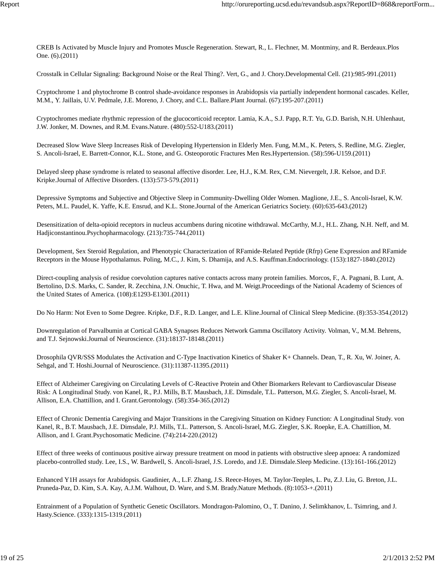CREB Is Activated by Muscle Injury and Promotes Muscle Regeneration. Stewart, R., L. Flechner, M. Montminy, and R. Berdeaux.Plos One. (6).(2011)

Crosstalk in Cellular Signaling: Background Noise or the Real Thing?. Vert, G., and J. Chory.Developmental Cell. (21):985-991.(2011)

Cryptochrome 1 and phytochrome B control shade-avoidance responses in Arabidopsis via partially independent hormonal cascades. Keller, M.M., Y. Jaillais, U.V. Pedmale, J.E. Moreno, J. Chory, and C.L. Ballare.Plant Journal. (67):195-207.(2011)

Cryptochromes mediate rhythmic repression of the glucocorticoid receptor. Lamia, K.A., S.J. Papp, R.T. Yu, G.D. Barish, N.H. Uhlenhaut, J.W. Jonker, M. Downes, and R.M. Evans.Nature. (480):552-U183.(2011)

Decreased Slow Wave Sleep Increases Risk of Developing Hypertension in Elderly Men. Fung, M.M., K. Peters, S. Redline, M.G. Ziegler, S. Ancoli-Israel, E. Barrett-Connor, K.L. Stone, and G. Osteoporotic Fractures Men Res.Hypertension. (58):596-U159.(2011)

Delayed sleep phase syndrome is related to seasonal affective disorder. Lee, H.J., K.M. Rex, C.M. Nievergelt, J.R. Kelsoe, and D.F. Kripke.Journal of Affective Disorders. (133):573-579.(2011)

Depressive Symptoms and Subjective and Objective Sleep in Community-Dwelling Older Women. Maglione, J.E., S. Ancoli-Israel, K.W. Peters, M.L. Paudel, K. Yaffe, K.E. Ensrud, and K.L. Stone.Journal of the American Geriatrics Society. (60):635-643.(2012)

Desensitization of delta-opioid receptors in nucleus accumbens during nicotine withdrawal. McCarthy, M.J., H.L. Zhang, N.H. Neff, and M. Hadjiconstantinou.Psychopharmacology. (213):735-744.(2011)

Development, Sex Steroid Regulation, and Phenotypic Characterization of RFamide-Related Peptide (Rfrp) Gene Expression and RFamide Receptors in the Mouse Hypothalamus. Poling, M.C., J. Kim, S. Dhamija, and A.S. Kauffman.Endocrinology. (153):1827-1840.(2012)

Direct-coupling analysis of residue coevolution captures native contacts across many protein families. Morcos, F., A. Pagnani, B. Lunt, A. Bertolino, D.S. Marks, C. Sander, R. Zecchina, J.N. Onuchic, T. Hwa, and M. Weigt.Proceedings of the National Academy of Sciences of the United States of America. (108):E1293-E1301.(2011)

Do No Harm: Not Even to Some Degree. Kripke, D.F., R.D. Langer, and L.E. Kline.Journal of Clinical Sleep Medicine. (8):353-354.(2012)

Downregulation of Parvalbumin at Cortical GABA Synapses Reduces Network Gamma Oscillatory Activity. Volman, V., M.M. Behrens, and T.J. Sejnowski.Journal of Neuroscience. (31):18137-18148.(2011)

Drosophila QVR/SSS Modulates the Activation and C-Type Inactivation Kinetics of Shaker K+ Channels. Dean, T., R. Xu, W. Joiner, A. Sehgal, and T. Hoshi.Journal of Neuroscience. (31):11387-11395.(2011)

Effect of Alzheimer Caregiving on Circulating Levels of C-Reactive Protein and Other Biomarkers Relevant to Cardiovascular Disease Risk: A Longitudinal Study. von Kanel, R., P.J. Mills, B.T. Mausbach, J.E. Dimsdale, T.L. Patterson, M.G. Ziegler, S. Ancoli-Israel, M. Allison, E.A. Chattillion, and I. Grant.Gerontology. (58):354-365.(2012)

Effect of Chronic Dementia Caregiving and Major Transitions in the Caregiving Situation on Kidney Function: A Longitudinal Study. von Kanel, R., B.T. Mausbach, J.E. Dimsdale, P.J. Mills, T.L. Patterson, S. Ancoli-Israel, M.G. Ziegler, S.K. Roepke, E.A. Chattillion, M. Allison, and I. Grant.Psychosomatic Medicine. (74):214-220.(2012)

Effect of three weeks of continuous positive airway pressure treatment on mood in patients with obstructive sleep apnoea: A randomized placebo-controlled study. Lee, I.S., W. Bardwell, S. Ancoli-Israel, J.S. Loredo, and J.E. Dimsdale.Sleep Medicine. (13):161-166.(2012)

Enhanced Y1H assays for Arabidopsis. Gaudinier, A., L.F. Zhang, J.S. Reece-Hoyes, M. Taylor-Teeples, L. Pu, Z.J. Liu, G. Breton, J.L. Pruneda-Paz, D. Kim, S.A. Kay, A.J.M. Walhout, D. Ware, and S.M. Brady.Nature Methods. (8):1053-+.(2011)

Entrainment of a Population of Synthetic Genetic Oscillators. Mondragon-Palomino, O., T. Danino, J. Selimkhanov, L. Tsimring, and J. Hasty.Science. (333):1315-1319.(2011)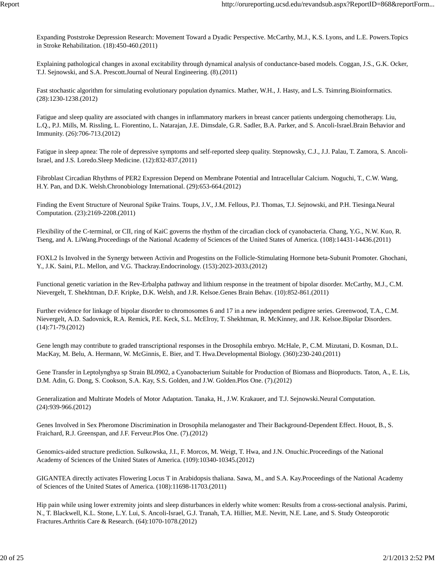Expanding Poststroke Depression Research: Movement Toward a Dyadic Perspective. McCarthy, M.J., K.S. Lyons, and L.E. Powers.Topics in Stroke Rehabilitation. (18):450-460.(2011)

Explaining pathological changes in axonal excitability through dynamical analysis of conductance-based models. Coggan, J.S., G.K. Ocker, T.J. Sejnowski, and S.A. Prescott.Journal of Neural Engineering. (8).(2011)

Fast stochastic algorithm for simulating evolutionary population dynamics. Mather, W.H., J. Hasty, and L.S. Tsimring.Bioinformatics. (28):1230-1238.(2012)

Fatigue and sleep quality are associated with changes in inflammatory markers in breast cancer patients undergoing chemotherapy. Liu, L.Q., P.J. Mills, M. Rissling, L. Fiorentino, L. Natarajan, J.E. Dimsdale, G.R. Sadler, B.A. Parker, and S. Ancoli-Israel.Brain Behavior and Immunity. (26):706-713.(2012)

Fatigue in sleep apnea: The role of depressive symptoms and self-reported sleep quality. Stepnowsky, C.J., J.J. Palau, T. Zamora, S. Ancoli-Israel, and J.S. Loredo.Sleep Medicine. (12):832-837.(2011)

Fibroblast Circadian Rhythms of PER2 Expression Depend on Membrane Potential and Intracellular Calcium. Noguchi, T., C.W. Wang, H.Y. Pan, and D.K. Welsh.Chronobiology International. (29):653-664.(2012)

Finding the Event Structure of Neuronal Spike Trains. Toups, J.V., J.M. Fellous, P.J. Thomas, T.J. Sejnowski, and P.H. Tiesinga.Neural Computation. (23):2169-2208.(2011)

Flexibility of the C-terminal, or CII, ring of KaiC governs the rhythm of the circadian clock of cyanobacteria. Chang, Y.G., N.W. Kuo, R. Tseng, and A. LiWang.Proceedings of the National Academy of Sciences of the United States of America. (108):14431-14436.(2011)

FOXL2 Is Involved in the Synergy between Activin and Progestins on the Follicle-Stimulating Hormone beta-Subunit Promoter. Ghochani, Y., J.K. Saini, P.L. Mellon, and V.G. Thackray.Endocrinology. (153):2023-2033.(2012)

Functional genetic variation in the Rev-Erbalpha pathway and lithium response in the treatment of bipolar disorder. McCarthy, M.J., C.M. Nievergelt, T. Shekhtman, D.F. Kripke, D.K. Welsh, and J.R. Kelsoe.Genes Brain Behav. (10):852-861.(2011)

Further evidence for linkage of bipolar disorder to chromosomes 6 and 17 in a new independent pedigree series. Greenwood, T.A., C.M. Nievergelt, A.D. Sadovnick, R.A. Remick, P.E. Keck, S.L. McElroy, T. Shekhtman, R. McKinney, and J.R. Kelsoe.Bipolar Disorders. (14):71-79.(2012)

Gene length may contribute to graded transcriptional responses in the Drosophila embryo. McHale, P., C.M. Mizutani, D. Kosman, D.L. MacKay, M. Belu, A. Hermann, W. McGinnis, E. Bier, and T. Hwa.Developmental Biology. (360):230-240.(2011)

Gene Transfer in Leptolyngbya sp Strain BL0902, a Cyanobacterium Suitable for Production of Biomass and Bioproducts. Taton, A., E. Lis, D.M. Adin, G. Dong, S. Cookson, S.A. Kay, S.S. Golden, and J.W. Golden.Plos One. (7).(2012)

Generalization and Multirate Models of Motor Adaptation. Tanaka, H., J.W. Krakauer, and T.J. Sejnowski.Neural Computation. (24):939-966.(2012)

Genes Involved in Sex Pheromone Discrimination in Drosophila melanogaster and Their Background-Dependent Effect. Houot, B., S. Fraichard, R.J. Greenspan, and J.F. Ferveur.Plos One. (7).(2012)

Genomics-aided structure prediction. Sulkowska, J.I., F. Morcos, M. Weigt, T. Hwa, and J.N. Onuchic.Proceedings of the National Academy of Sciences of the United States of America. (109):10340-10345.(2012)

GIGANTEA directly activates Flowering Locus T in Arabidopsis thaliana. Sawa, M., and S.A. Kay.Proceedings of the National Academy of Sciences of the United States of America. (108):11698-11703.(2011)

Hip pain while using lower extremity joints and sleep disturbances in elderly white women: Results from a cross-sectional analysis. Parimi, N., T. Blackwell, K.L. Stone, L.Y. Lui, S. Ancoli-Israel, G.J. Tranah, T.A. Hillier, M.E. Nevitt, N.E. Lane, and S. Study Osteoporotic Fractures.Arthritis Care & Research. (64):1070-1078.(2012)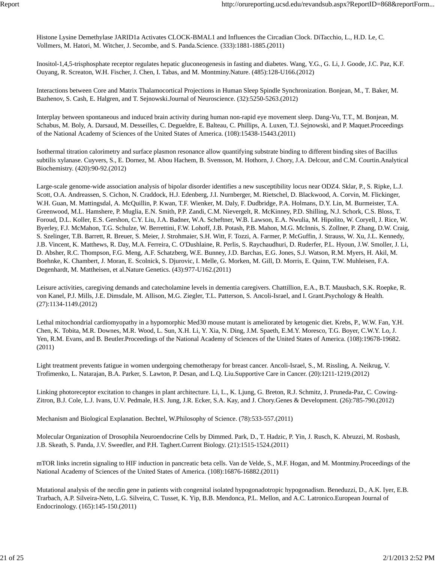Histone Lysine Demethylase JARID1a Activates CLOCK-BMAL1 and Influences the Circadian Clock. DiTacchio, L., H.D. Le, C. Vollmers, M. Hatori, M. Witcher, J. Secombe, and S. Panda.Science. (333):1881-1885.(2011)

Inositol-1,4,5-trisphosphate receptor regulates hepatic gluconeogenesis in fasting and diabetes. Wang, Y.G., G. Li, J. Goode, J.C. Paz, K.F. Ouyang, R. Screaton, W.H. Fischer, J. Chen, I. Tabas, and M. Montminy.Nature. (485):128-U166.(2012)

Interactions between Core and Matrix Thalamocortical Projections in Human Sleep Spindle Synchronization. Bonjean, M., T. Baker, M. Bazhenov, S. Cash, E. Halgren, and T. Sejnowski.Journal of Neuroscience. (32):5250-5263.(2012)

Interplay between spontaneous and induced brain activity during human non-rapid eye movement sleep. Dang-Vu, T.T., M. Bonjean, M. Schabus, M. Boly, A. Darsaud, M. Desseilles, C. Degueldre, E. Balteau, C. Phillips, A. Luxen, T.J. Sejnowski, and P. Maquet.Proceedings of the National Academy of Sciences of the United States of America. (108):15438-15443.(2011)

Isothermal titration calorimetry and surface plasmon resonance allow quantifying substrate binding to different binding sites of Bacillus subtilis xylanase. Cuyvers, S., E. Dornez, M. Abou Hachem, B. Svensson, M. Hothorn, J. Chory, J.A. Delcour, and C.M. Courtin.Analytical Biochemistry. (420):90-92.(2012)

Large-scale genome-wide association analysis of bipolar disorder identifies a new susceptibility locus near ODZ4. Sklar, P., S. Ripke, L.J. Scott, O.A. Andreassen, S. Cichon, N. Craddock, H.J. Edenberg, J.I. Nurnberger, M. Rietschel, D. Blackwood, A. Corvin, M. Flickinger, W.H. Guan, M. Mattingsdal, A. McQuillin, P. Kwan, T.F. Wienker, M. Daly, F. Dudbridge, P.A. Holmans, D.Y. Lin, M. Burmeister, T.A. Greenwood, M.L. Hamshere, P. Muglia, E.N. Smith, P.P. Zandi, C.M. Nievergelt, R. McKinney, P.D. Shilling, N.J. Schork, C.S. Bloss, T. Foroud, D.L. Koller, E.S. Gershon, C.Y. Liu, J.A. Badner, W.A. Scheftner, W.B. Lawson, E.A. Nwulia, M. Hipolito, W. Coryell, J. Rice, W. Byerley, F.J. McMahon, T.G. Schulze, W. Berrettini, F.W. Lohoff, J.B. Potash, P.B. Mahon, M.G. McInnis, S. Zollner, P. Zhang, D.W. Craig, S. Szelinger, T.B. Barrett, R. Breuer, S. Meier, J. Strohmaier, S.H. Witt, F. Tozzi, A. Farmer, P. McGuffin, J. Strauss, W. Xu, J.L. Kennedy, J.B. Vincent, K. Matthews, R. Day, M.A. Ferreira, C. O'Dushlaine, R. Perlis, S. Raychaudhuri, D. Ruderfer, P.L. Hyoun, J.W. Smoller, J. Li, D. Absher, R.C. Thompson, F.G. Meng, A.F. Schatzberg, W.E. Bunney, J.D. Barchas, E.G. Jones, S.J. Watson, R.M. Myers, H. Akil, M. Boehnke, K. Chambert, J. Moran, E. Scolnick, S. Djurovic, I. Melle, G. Morken, M. Gill, D. Morris, E. Quinn, T.W. Muhleisen, F.A. Degenhardt, M. Mattheisen, et al.Nature Genetics. (43):977-U162.(2011)

Leisure activities, caregiving demands and catecholamine levels in dementia caregivers. Chattillion, E.A., B.T. Mausbach, S.K. Roepke, R. von Kanel, P.J. Mills, J.E. Dimsdale, M. Allison, M.G. Ziegler, T.L. Patterson, S. Ancoli-Israel, and I. Grant.Psychology & Health. (27):1134-1149.(2012)

Lethal mitochondrial cardiomyopathy in a hypomorphic Med30 mouse mutant is ameliorated by ketogenic diet. Krebs, P., W.W. Fan, Y.H. Chen, K. Tobita, M.R. Downes, M.R. Wood, L. Sun, X.H. Li, Y. Xia, N. Ding, J.M. Spaeth, E.M.Y. Moresco, T.G. Boyer, C.W.Y. Lo, J. Yen, R.M. Evans, and B. Beutler.Proceedings of the National Academy of Sciences of the United States of America. (108):19678-19682. (2011)

Light treatment prevents fatigue in women undergoing chemotherapy for breast cancer. Ancoli-Israel, S., M. Rissling, A. Neikrug, V. Trofimenko, L. Natarajan, B.A. Parker, S. Lawton, P. Desan, and L.Q. Liu.Supportive Care in Cancer. (20):1211-1219.(2012)

Linking photoreceptor excitation to changes in plant architecture. Li, L., K. Ljung, G. Breton, R.J. Schmitz, J. Pruneda-Paz, C. Cowing-Zitron, B.J. Cole, L.J. Ivans, U.V. Pedmale, H.S. Jung, J.R. Ecker, S.A. Kay, and J. Chory.Genes & Development. (26):785-790.(2012)

Mechanism and Biological Explanation. Bechtel, W.Philosophy of Science. (78):533-557.(2011)

Molecular Organization of Drosophila Neuroendocrine Cells by Dimmed. Park, D., T. Hadzic, P. Yin, J. Rusch, K. Abruzzi, M. Rosbash, J.B. Skeath, S. Panda, J.V. Sweedler, and P.H. Taghert.Current Biology. (21):1515-1524.(2011)

mTOR links incretin signaling to HIF induction in pancreatic beta cells. Van de Velde, S., M.F. Hogan, and M. Montminy.Proceedings of the National Academy of Sciences of the United States of America. (108):16876-16882.(2011)

Mutational analysis of the necdin gene in patients with congenital isolated hypogonadotropic hypogonadism. Beneduzzi, D., A.K. Iyer, E.B. Trarbach, A.P. Silveira-Neto, L.G. Silveira, C. Tusset, K. Yip, B.B. Mendonca, P.L. Mellon, and A.C. Latronico.European Journal of Endocrinology. (165):145-150.(2011)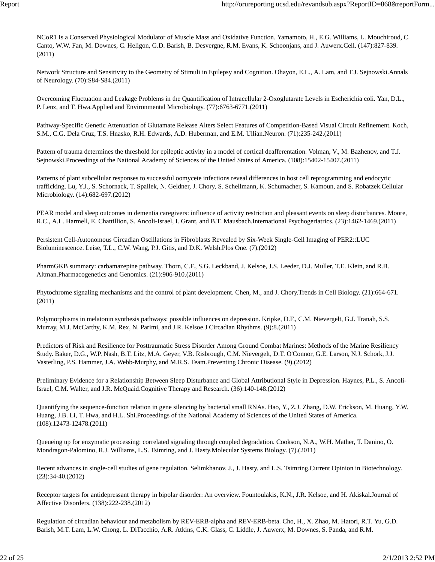NCoR1 Is a Conserved Physiological Modulator of Muscle Mass and Oxidative Function. Yamamoto, H., E.G. Williams, L. Mouchiroud, C. Canto, W.W. Fan, M. Downes, C. Heligon, G.D. Barish, B. Desvergne, R.M. Evans, K. Schoonjans, and J. Auwerx.Cell. (147):827-839. (2011)

Network Structure and Sensitivity to the Geometry of Stimuli in Epilepsy and Cognition. Ohayon, E.L., A. Lam, and T.J. Sejnowski.Annals of Neurology. (70):S84-S84.(2011)

Overcoming Fluctuation and Leakage Problems in the Quantification of Intracellular 2-Oxoglutarate Levels in Escherichia coli. Yan, D.L., P. Lenz, and T. Hwa.Applied and Environmental Microbiology. (77):6763-6771.(2011)

Pathway-Specific Genetic Attenuation of Glutamate Release Alters Select Features of Competition-Based Visual Circuit Refinement. Koch, S.M., C.G. Dela Cruz, T.S. Hnasko, R.H. Edwards, A.D. Huberman, and E.M. Ullian.Neuron. (71):235-242.(2011)

Pattern of trauma determines the threshold for epileptic activity in a model of cortical deafferentation. Volman, V., M. Bazhenov, and T.J. Sejnowski.Proceedings of the National Academy of Sciences of the United States of America. (108):15402-15407.(2011)

Patterns of plant subcellular responses to successful oomycete infections reveal differences in host cell reprogramming and endocytic trafficking. Lu, Y.J., S. Schornack, T. Spallek, N. Geldner, J. Chory, S. Schellmann, K. Schumacher, S. Kamoun, and S. Robatzek.Cellular Microbiology. (14):682-697.(2012)

PEAR model and sleep outcomes in dementia caregivers: influence of activity restriction and pleasant events on sleep disturbances. Moore, R.C., A.L. Harmell, E. Chattillion, S. Ancoli-Israel, I. Grant, and B.T. Mausbach.International Psychogeriatrics. (23):1462-1469.(2011)

Persistent Cell-Autonomous Circadian Oscillations in Fibroblasts Revealed by Six-Week Single-Cell Imaging of PER2::LUC Bioluminescence. Leise, T.L., C.W. Wang, P.J. Gitis, and D.K. Welsh.Plos One. (7).(2012)

PharmGKB summary: carbamazepine pathway. Thorn, C.F., S.G. Leckband, J. Kelsoe, J.S. Leeder, D.J. Muller, T.E. Klein, and R.B. Altman.Pharmacogenetics and Genomics. (21):906-910.(2011)

Phytochrome signaling mechanisms and the control of plant development. Chen, M., and J. Chory.Trends in Cell Biology. (21):664-671. (2011)

Polymorphisms in melatonin synthesis pathways: possible influences on depression. Kripke, D.F., C.M. Nievergelt, G.J. Tranah, S.S. Murray, M.J. McCarthy, K.M. Rex, N. Parimi, and J.R. Kelsoe.J Circadian Rhythms. (9):8.(2011)

Predictors of Risk and Resilience for Posttraumatic Stress Disorder Among Ground Combat Marines: Methods of the Marine Resiliency Study. Baker, D.G., W.P. Nash, B.T. Litz, M.A. Geyer, V.B. Risbrough, C.M. Nievergelt, D.T. O'Connor, G.E. Larson, N.J. Schork, J.J. Vasterling, P.S. Hammer, J.A. Webb-Murphy, and M.R.S. Team.Preventing Chronic Disease. (9).(2012)

Preliminary Evidence for a Relationship Between Sleep Disturbance and Global Attributional Style in Depression. Haynes, P.L., S. Ancoli-Israel, C.M. Walter, and J.R. McQuaid.Cognitive Therapy and Research. (36):140-148.(2012)

Quantifying the sequence-function relation in gene silencing by bacterial small RNAs. Hao, Y., Z.J. Zhang, D.W. Erickson, M. Huang, Y.W. Huang, J.B. Li, T. Hwa, and H.L. Shi.Proceedings of the National Academy of Sciences of the United States of America. (108):12473-12478.(2011)

Queueing up for enzymatic processing: correlated signaling through coupled degradation. Cookson, N.A., W.H. Mather, T. Danino, O. Mondragon-Palomino, R.J. Williams, L.S. Tsimring, and J. Hasty.Molecular Systems Biology. (7).(2011)

Recent advances in single-cell studies of gene regulation. Selimkhanov, J., J. Hasty, and L.S. Tsimring.Current Opinion in Biotechnology. (23):34-40.(2012)

Receptor targets for antidepressant therapy in bipolar disorder: An overview. Fountoulakis, K.N., J.R. Kelsoe, and H. Akiskal.Journal of Affective Disorders. (138):222-238.(2012)

Regulation of circadian behaviour and metabolism by REV-ERB-alpha and REV-ERB-beta. Cho, H., X. Zhao, M. Hatori, R.T. Yu, G.D. Barish, M.T. Lam, L.W. Chong, L. DiTacchio, A.R. Atkins, C.K. Glass, C. Liddle, J. Auwerx, M. Downes, S. Panda, and R.M.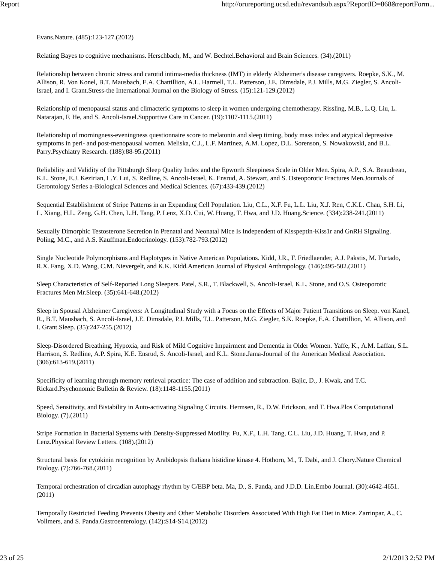Evans.Nature. (485):123-127.(2012)

Relating Bayes to cognitive mechanisms. Herschbach, M., and W. Bechtel.Behavioral and Brain Sciences. (34).(2011)

Relationship between chronic stress and carotid intima-media thickness (IMT) in elderly Alzheimer's disease caregivers. Roepke, S.K., M. Allison, R. Von Konel, B.T. Mausbach, E.A. Chattillion, A.L. Harmell, T.L. Patterson, J.E. Dimsdale, P.J. Mills, M.G. Ziegler, S. Ancoli-Israel, and I. Grant.Stress-the International Journal on the Biology of Stress. (15):121-129.(2012)

Relationship of menopausal status and climacteric symptoms to sleep in women undergoing chemotherapy. Rissling, M.B., L.Q. Liu, L. Natarajan, F. He, and S. Ancoli-Israel.Supportive Care in Cancer. (19):1107-1115.(2011)

Relationship of morningness-eveningness questionnaire score to melatonin and sleep timing, body mass index and atypical depressive symptoms in peri- and post-menopausal women. Meliska, C.J., L.F. Martinez, A.M. Lopez, D.L. Sorenson, S. Nowakowski, and B.L. Parry.Psychiatry Research. (188):88-95.(2011)

Reliability and Validity of the Pittsburgh Sleep Quality Index and the Epworth Sleepiness Scale in Older Men. Spira, A.P., S.A. Beaudreau, K.L. Stone, E.J. Kezirian, L.Y. Lui, S. Redline, S. Ancoli-Israel, K. Ensrud, A. Stewart, and S. Osteoporotic Fractures Men.Journals of Gerontology Series a-Biological Sciences and Medical Sciences. (67):433-439.(2012)

Sequential Establishment of Stripe Patterns in an Expanding Cell Population. Liu, C.L., X.F. Fu, L.L. Liu, X.J. Ren, C.K.L. Chau, S.H. Li, L. Xiang, H.L. Zeng, G.H. Chen, L.H. Tang, P. Lenz, X.D. Cui, W. Huang, T. Hwa, and J.D. Huang.Science. (334):238-241.(2011)

Sexually Dimorphic Testosterone Secretion in Prenatal and Neonatal Mice Is Independent of Kisspeptin-Kiss1r and GnRH Signaling. Poling, M.C., and A.S. Kauffman.Endocrinology. (153):782-793.(2012)

Single Nucleotide Polymorphisms and Haplotypes in Native American Populations. Kidd, J.R., F. Friedlaender, A.J. Pakstis, M. Furtado, R.X. Fang, X.D. Wang, C.M. Nievergelt, and K.K. Kidd.American Journal of Physical Anthropology. (146):495-502.(2011)

Sleep Characteristics of Self-Reported Long Sleepers. Patel, S.R., T. Blackwell, S. Ancoli-Israel, K.L. Stone, and O.S. Osteoporotic Fractures Men Mr.Sleep. (35):641-648.(2012)

Sleep in Spousal Alzheimer Caregivers: A Longitudinal Study with a Focus on the Effects of Major Patient Transitions on Sleep. von Kanel, R., B.T. Mausbach, S. Ancoli-Israel, J.E. Dimsdale, P.J. Mills, T.L. Patterson, M.G. Ziegler, S.K. Roepke, E.A. Chattillion, M. Allison, and I. Grant.Sleep. (35):247-255.(2012)

Sleep-Disordered Breathing, Hypoxia, and Risk of Mild Cognitive Impairment and Dementia in Older Women. Yaffe, K., A.M. Laffan, S.L. Harrison, S. Redline, A.P. Spira, K.E. Ensrud, S. Ancoli-Israel, and K.L. Stone.Jama-Journal of the American Medical Association. (306):613-619.(2011)

Specificity of learning through memory retrieval practice: The case of addition and subtraction. Bajic, D., J. Kwak, and T.C. Rickard.Psychonomic Bulletin & Review. (18):1148-1155.(2011)

Speed, Sensitivity, and Bistability in Auto-activating Signaling Circuits. Hermsen, R., D.W. Erickson, and T. Hwa.Plos Computational Biology. (7).(2011)

Stripe Formation in Bacterial Systems with Density-Suppressed Motility. Fu, X.F., L.H. Tang, C.L. Liu, J.D. Huang, T. Hwa, and P. Lenz.Physical Review Letters. (108).(2012)

Structural basis for cytokinin recognition by Arabidopsis thaliana histidine kinase 4. Hothorn, M., T. Dabi, and J. Chory.Nature Chemical Biology. (7):766-768.(2011)

Temporal orchestration of circadian autophagy rhythm by C/EBP beta. Ma, D., S. Panda, and J.D.D. Lin.Embo Journal. (30):4642-4651. (2011)

Temporally Restricted Feeding Prevents Obesity and Other Metabolic Disorders Associated With High Fat Diet in Mice. Zarrinpar, A., C. Vollmers, and S. Panda.Gastroenterology. (142):S14-S14.(2012)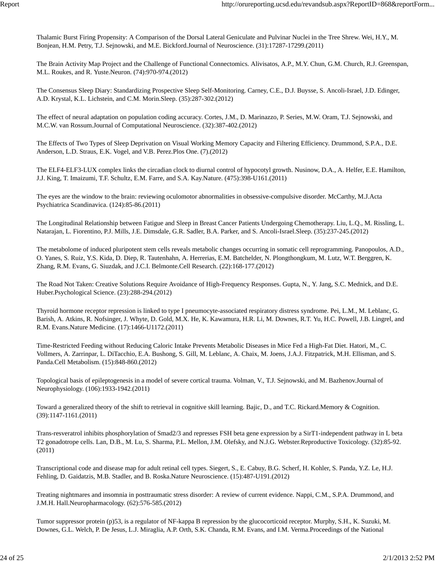Thalamic Burst Firing Propensity: A Comparison of the Dorsal Lateral Geniculate and Pulvinar Nuclei in the Tree Shrew. Wei, H.Y., M. Bonjean, H.M. Petry, T.J. Sejnowski, and M.E. Bickford.Journal of Neuroscience. (31):17287-17299.(2011)

The Brain Activity Map Project and the Challenge of Functional Connectomics. Alivisatos, A.P., M.Y. Chun, G.M. Church, R.J. Greenspan, M.L. Roukes, and R. Yuste.Neuron. (74):970-974.(2012)

The Consensus Sleep Diary: Standardizing Prospective Sleep Self-Monitoring. Carney, C.E., D.J. Buysse, S. Ancoli-Israel, J.D. Edinger, A.D. Krystal, K.L. Lichstein, and C.M. Morin.Sleep. (35):287-302.(2012)

The effect of neural adaptation on population coding accuracy. Cortes, J.M., D. Marinazzo, P. Series, M.W. Oram, T.J. Sejnowski, and M.C.W. van Rossum.Journal of Computational Neuroscience. (32):387-402.(2012)

The Effects of Two Types of Sleep Deprivation on Visual Working Memory Capacity and Filtering Efficiency. Drummond, S.P.A., D.E. Anderson, L.D. Straus, E.K. Vogel, and V.B. Perez.Plos One. (7).(2012)

The ELF4-ELF3-LUX complex links the circadian clock to diurnal control of hypocotyl growth. Nusinow, D.A., A. Helfer, E.E. Hamilton, J.J. King, T. Imaizumi, T.F. Schultz, E.M. Farre, and S.A. Kay.Nature. (475):398-U161.(2011)

The eyes are the window to the brain: reviewing oculomotor abnormalities in obsessive-compulsive disorder. McCarthy, M.J.Acta Psychiatrica Scandinavica. (124):85-86.(2011)

The Longitudinal Relationship between Fatigue and Sleep in Breast Cancer Patients Undergoing Chemotherapy. Liu, L.Q., M. Rissling, L. Natarajan, L. Fiorentino, P.J. Mills, J.E. Dimsdale, G.R. Sadler, B.A. Parker, and S. Ancoli-Israel.Sleep. (35):237-245.(2012)

The metabolome of induced pluripotent stem cells reveals metabolic changes occurring in somatic cell reprogramming. Panopoulos, A.D., O. Yanes, S. Ruiz, Y.S. Kida, D. Diep, R. Tautenhahn, A. Herrerias, E.M. Batchelder, N. Plongthongkum, M. Lutz, W.T. Berggren, K. Zhang, R.M. Evans, G. Siuzdak, and J.C.I. Belmonte.Cell Research. (22):168-177.(2012)

The Road Not Taken: Creative Solutions Require Avoidance of High-Frequency Responses. Gupta, N., Y. Jang, S.C. Mednick, and D.E. Huber.Psychological Science. (23):288-294.(2012)

Thyroid hormone receptor repression is linked to type I pneumocyte-associated respiratory distress syndrome. Pei, L.M., M. Leblanc, G. Barish, A. Atkins, R. Nofsinger, J. Whyte, D. Gold, M.X. He, K. Kawamura, H.R. Li, M. Downes, R.T. Yu, H.C. Powell, J.B. Lingrel, and R.M. Evans.Nature Medicine. (17):1466-U1172.(2011)

Time-Restricted Feeding without Reducing Caloric Intake Prevents Metabolic Diseases in Mice Fed a High-Fat Diet. Hatori, M., C. Vollmers, A. Zarrinpar, L. DiTacchio, E.A. Bushong, S. Gill, M. Leblanc, A. Chaix, M. Joens, J.A.J. Fitzpatrick, M.H. Ellisman, and S. Panda.Cell Metabolism. (15):848-860.(2012)

Topological basis of epileptogenesis in a model of severe cortical trauma. Volman, V., T.J. Sejnowski, and M. Bazhenov.Journal of Neurophysiology. (106):1933-1942.(2011)

Toward a generalized theory of the shift to retrieval in cognitive skill learning. Bajic, D., and T.C. Rickard.Memory & Cognition. (39):1147-1161.(2011)

Trans-resveratrol inhibits phosphorylation of Smad2/3 and represses FSH beta gene expression by a SirT1-independent pathway in L beta T2 gonadotrope cells. Lan, D.B., M. Lu, S. Sharma, P.L. Mellon, J.M. Olefsky, and N.J.G. Webster.Reproductive Toxicology. (32):85-92. (2011)

Transcriptional code and disease map for adult retinal cell types. Siegert, S., E. Cabuy, B.G. Scherf, H. Kohler, S. Panda, Y.Z. Le, H.J. Fehling, D. Gaidatzis, M.B. Stadler, and B. Roska.Nature Neuroscience. (15):487-U191.(2012)

Treating nightmares and insomnia in posttraumatic stress disorder: A review of current evidence. Nappi, C.M., S.P.A. Drummond, and J.M.H. Hall.Neuropharmacology. (62):576-585.(2012)

Tumor suppressor protein (p)53, is a regulator of NF-kappa B repression by the glucocorticoid receptor. Murphy, S.H., K. Suzuki, M. Downes, G.L. Welch, P. De Jesus, L.J. Miraglia, A.P. Orth, S.K. Chanda, R.M. Evans, and I.M. Verma.Proceedings of the National